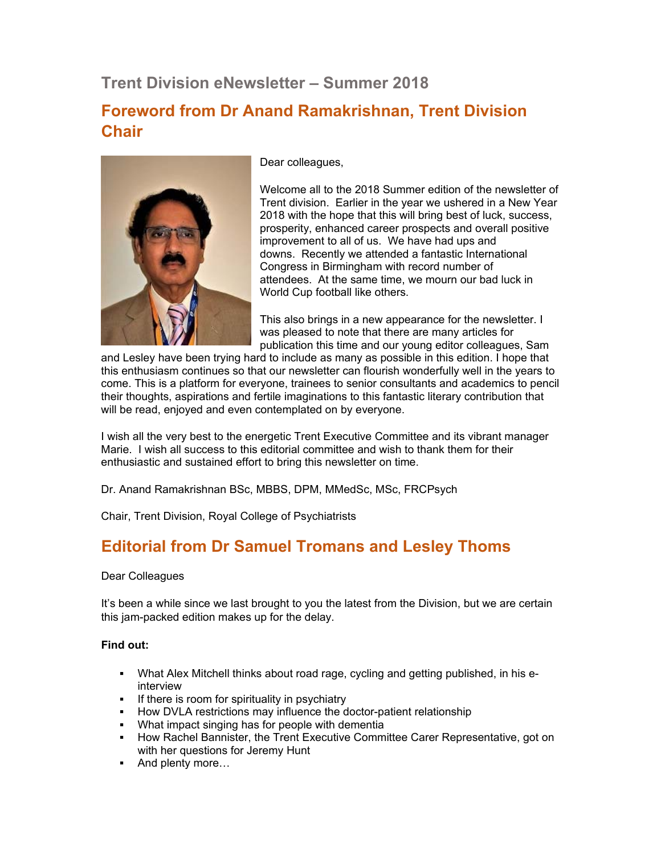# **Trent Division eNewsletter – Summer 2018**

## **Foreword from Dr Anand Ramakrishnan, Trent Division Chair**



Dear colleagues,

Welcome all to the 2018 Summer edition of the newsletter of Trent division. Earlier in the year we ushered in a New Year 2018 with the hope that this will bring best of luck, success, prosperity, enhanced career prospects and overall positive improvement to all of us. We have had ups and downs. Recently we attended a fantastic International Congress in Birmingham with record number of attendees. At the same time, we mourn our bad luck in World Cup football like others.

This also brings in a new appearance for the newsletter. I was pleased to note that there are many articles for publication this time and our young editor colleagues, Sam

and Lesley have been trying hard to include as many as possible in this edition. I hope that this enthusiasm continues so that our newsletter can flourish wonderfully well in the years to come. This is a platform for everyone, trainees to senior consultants and academics to pencil their thoughts, aspirations and fertile imaginations to this fantastic literary contribution that will be read, enjoyed and even contemplated on by everyone.

I wish all the very best to the energetic Trent Executive Committee and its vibrant manager Marie. I wish all success to this editorial committee and wish to thank them for their enthusiastic and sustained effort to bring this newsletter on time.

Dr. Anand Ramakrishnan BSc, MBBS, DPM, MMedSc, MSc, FRCPsych

Chair, Trent Division, Royal College of Psychiatrists

# **Editorial from Dr Samuel Tromans and Lesley Thoms**

## Dear Colleagues

It's been a while since we last brought to you the latest from the Division, but we are certain this jam-packed edition makes up for the delay.

## **Find out:**

- What Alex Mitchell thinks about road rage, cycling and getting published, in his einterview
- If there is room for spirituality in psychiatry
- **How DVLA restrictions may influence the doctor-patient relationship**
- What impact singing has for people with dementia
- How Rachel Bannister, the Trent Executive Committee Carer Representative, got on with her questions for Jeremy Hunt
- And plenty more...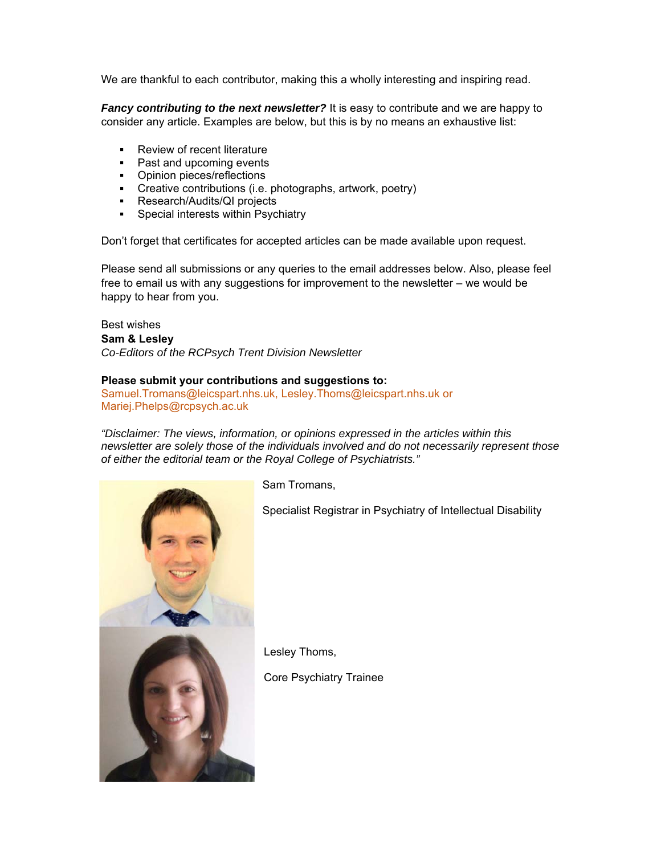We are thankful to each contributor, making this a wholly interesting and inspiring read.

*Fancy contributing to the next newsletter?* It is easy to contribute and we are happy to consider any article. Examples are below, but this is by no means an exhaustive list:

- **Review of recent literature**
- Past and upcoming events
- **•** Opinion pieces/reflections
- Creative contributions (i.e. photographs, artwork, poetry)
- **Research/Audits/QI projects**
- Special interests within Psychiatry

Don't forget that certificates for accepted articles can be made available upon request.

Please send all submissions or any queries to the email addresses below. Also, please feel free to email us with any suggestions for improvement to the newsletter – we would be happy to hear from you.

#### Best wishes **Sam & Lesley**

*Co-Editors of the RCPsych Trent Division Newsletter* 

#### **Please submit your contributions and suggestions to:**

Samuel.Tromans@leicspart.nhs.uk, Lesley.Thoms@leicspart.nhs.uk or Mariej.Phelps@rcpsych.ac.uk

*"Disclaimer: The views, information, or opinions expressed in the articles within this newsletter are solely those of the individuals involved and do not necessarily represent those of either the editorial team or the Royal College of Psychiatrists."*



Sam Tromans,

Specialist Registrar in Psychiatry of Intellectual Disability

Lesley Thoms,

Core Psychiatry Trainee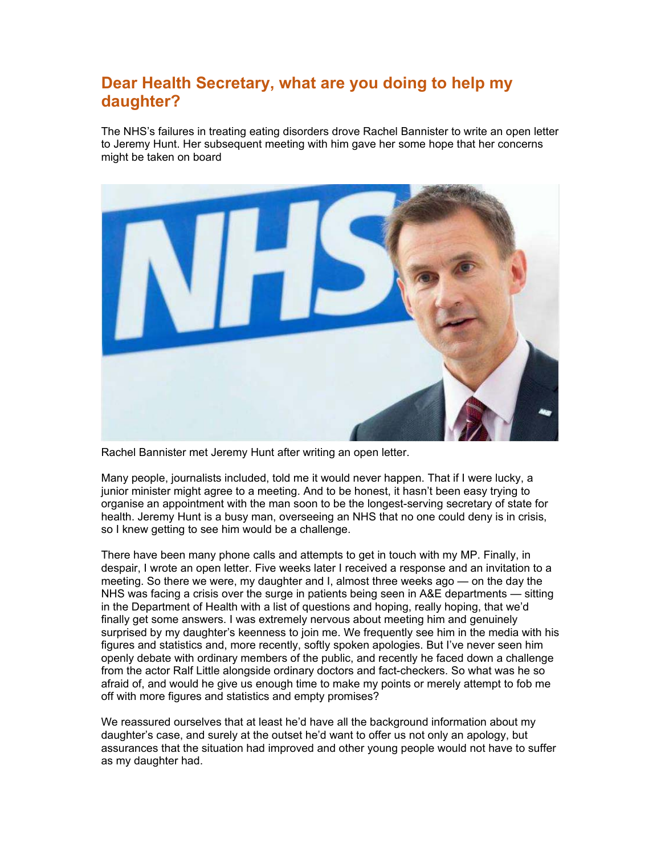# **Dear Health Secretary, what are you doing to help my daughter?**

The NHS's failures in treating eating disorders drove Rachel Bannister to write an open letter to Jeremy Hunt. Her subsequent meeting with him gave her some hope that her concerns might be taken on board



Rachel Bannister met Jeremy Hunt after writing an open letter.

Many people, journalists included, told me it would never happen. That if I were lucky, a junior minister might agree to a meeting. And to be honest, it hasn't been easy trying to organise an appointment with the man soon to be the longest-serving secretary of state for health. Jeremy Hunt is a busy man, overseeing an NHS that no one could deny is in crisis, so I knew getting to see him would be a challenge.

There have been many phone calls and attempts to get in touch with my MP. Finally, in despair, I wrote an open letter. Five weeks later I received a response and an invitation to a meeting. So there we were, my daughter and I, almost three weeks ago — on the day the NHS was facing a crisis over the surge in patients being seen in A&E departments — sitting in the Department of Health with a list of questions and hoping, really hoping, that we'd finally get some answers. I was extremely nervous about meeting him and genuinely surprised by my daughter's keenness to join me. We frequently see him in the media with his figures and statistics and, more recently, softly spoken apologies. But I've never seen him openly debate with ordinary members of the public, and recently he faced down a challenge from the actor Ralf Little alongside ordinary doctors and fact-checkers. So what was he so afraid of, and would he give us enough time to make my points or merely attempt to fob me off with more figures and statistics and empty promises?

We reassured ourselves that at least he'd have all the background information about my daughter's case, and surely at the outset he'd want to offer us not only an apology, but assurances that the situation had improved and other young people would not have to suffer as my daughter had.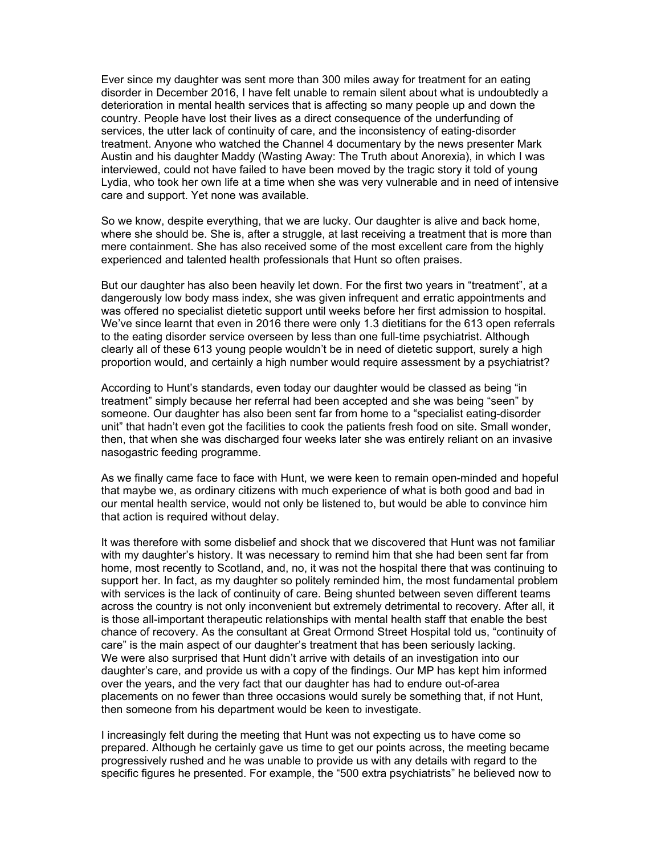Ever since my daughter was sent more than 300 miles away for treatment for an eating disorder in December 2016, I have felt unable to remain silent about what is undoubtedly a deterioration in mental health services that is affecting so many people up and down the country. People have lost their lives as a direct consequence of the underfunding of services, the utter lack of continuity of care, and the inconsistency of eating-disorder treatment. Anyone who watched the Channel 4 documentary by the news presenter Mark Austin and his daughter Maddy (Wasting Away: The Truth about Anorexia), in which I was interviewed, could not have failed to have been moved by the tragic story it told of young Lydia, who took her own life at a time when she was very vulnerable and in need of intensive care and support. Yet none was available.

So we know, despite everything, that we are lucky. Our daughter is alive and back home, where she should be. She is, after a struggle, at last receiving a treatment that is more than mere containment. She has also received some of the most excellent care from the highly experienced and talented health professionals that Hunt so often praises.

But our daughter has also been heavily let down. For the first two years in "treatment", at a dangerously low body mass index, she was given infrequent and erratic appointments and was offered no specialist dietetic support until weeks before her first admission to hospital. We've since learnt that even in 2016 there were only 1.3 dietitians for the 613 open referrals to the eating disorder service overseen by less than one full-time psychiatrist. Although clearly all of these 613 young people wouldn't be in need of dietetic support, surely a high proportion would, and certainly a high number would require assessment by a psychiatrist?

According to Hunt's standards, even today our daughter would be classed as being "in treatment" simply because her referral had been accepted and she was being "seen" by someone. Our daughter has also been sent far from home to a "specialist eating-disorder unit" that hadn't even got the facilities to cook the patients fresh food on site. Small wonder, then, that when she was discharged four weeks later she was entirely reliant on an invasive nasogastric feeding programme.

As we finally came face to face with Hunt, we were keen to remain open-minded and hopeful that maybe we, as ordinary citizens with much experience of what is both good and bad in our mental health service, would not only be listened to, but would be able to convince him that action is required without delay.

It was therefore with some disbelief and shock that we discovered that Hunt was not familiar with my daughter's history. It was necessary to remind him that she had been sent far from home, most recently to Scotland, and, no, it was not the hospital there that was continuing to support her. In fact, as my daughter so politely reminded him, the most fundamental problem with services is the lack of continuity of care. Being shunted between seven different teams across the country is not only inconvenient but extremely detrimental to recovery. After all, it is those all-important therapeutic relationships with mental health staff that enable the best chance of recovery. As the consultant at Great Ormond Street Hospital told us, "continuity of care" is the main aspect of our daughter's treatment that has been seriously lacking. We were also surprised that Hunt didn't arrive with details of an investigation into our daughter's care, and provide us with a copy of the findings. Our MP has kept him informed over the years, and the very fact that our daughter has had to endure out-of-area placements on no fewer than three occasions would surely be something that, if not Hunt, then someone from his department would be keen to investigate.

I increasingly felt during the meeting that Hunt was not expecting us to have come so prepared. Although he certainly gave us time to get our points across, the meeting became progressively rushed and he was unable to provide us with any details with regard to the specific figures he presented. For example, the "500 extra psychiatrists" he believed now to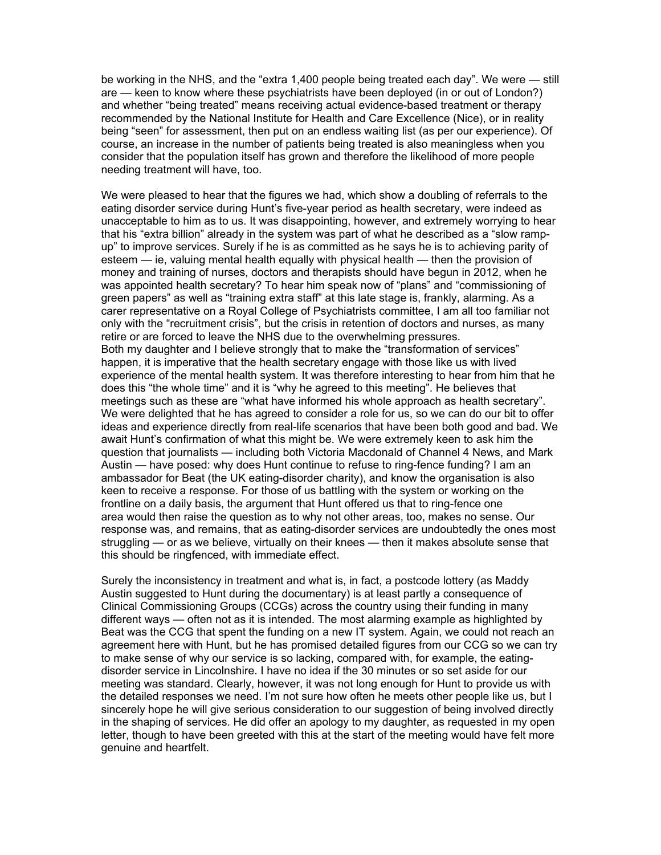be working in the NHS, and the "extra 1,400 people being treated each day". We were — still are — keen to know where these psychiatrists have been deployed (in or out of London?) and whether "being treated" means receiving actual evidence-based treatment or therapy recommended by the National Institute for Health and Care Excellence (Nice), or in reality being "seen" for assessment, then put on an endless waiting list (as per our experience). Of course, an increase in the number of patients being treated is also meaningless when you consider that the population itself has grown and therefore the likelihood of more people needing treatment will have, too.

We were pleased to hear that the figures we had, which show a doubling of referrals to the eating disorder service during Hunt's five-year period as health secretary, were indeed as unacceptable to him as to us. It was disappointing, however, and extremely worrying to hear that his "extra billion" already in the system was part of what he described as a "slow rampup" to improve services. Surely if he is as committed as he says he is to achieving parity of esteem — ie, valuing mental health equally with physical health — then the provision of money and training of nurses, doctors and therapists should have begun in 2012, when he was appointed health secretary? To hear him speak now of "plans" and "commissioning of green papers" as well as "training extra staff" at this late stage is, frankly, alarming. As a carer representative on a Royal College of Psychiatrists committee, I am all too familiar not only with the "recruitment crisis", but the crisis in retention of doctors and nurses, as many retire or are forced to leave the NHS due to the overwhelming pressures. Both my daughter and I believe strongly that to make the "transformation of services" happen, it is imperative that the health secretary engage with those like us with lived experience of the mental health system. It was therefore interesting to hear from him that he does this "the whole time" and it is "why he agreed to this meeting". He believes that meetings such as these are "what have informed his whole approach as health secretary". We were delighted that he has agreed to consider a role for us, so we can do our bit to offer ideas and experience directly from real-life scenarios that have been both good and bad. We await Hunt's confirmation of what this might be. We were extremely keen to ask him the question that journalists — including both Victoria Macdonald of Channel 4 News, and Mark Austin — have posed: why does Hunt continue to refuse to ring-fence funding? I am an ambassador for Beat (the UK eating-disorder charity), and know the organisation is also keen to receive a response. For those of us battling with the system or working on the frontline on a daily basis, the argument that Hunt offered us that to ring-fence one area would then raise the question as to why not other areas, too, makes no sense. Our response was, and remains, that as eating-disorder services are undoubtedly the ones most struggling — or as we believe, virtually on their knees — then it makes absolute sense that this should be ringfenced, with immediate effect.

Surely the inconsistency in treatment and what is, in fact, a postcode lottery (as Maddy Austin suggested to Hunt during the documentary) is at least partly a consequence of Clinical Commissioning Groups (CCGs) across the country using their funding in many different ways — often not as it is intended. The most alarming example as highlighted by Beat was the CCG that spent the funding on a new IT system. Again, we could not reach an agreement here with Hunt, but he has promised detailed figures from our CCG so we can try to make sense of why our service is so lacking, compared with, for example, the eatingdisorder service in Lincolnshire. I have no idea if the 30 minutes or so set aside for our meeting was standard. Clearly, however, it was not long enough for Hunt to provide us with the detailed responses we need. I'm not sure how often he meets other people like us, but I sincerely hope he will give serious consideration to our suggestion of being involved directly in the shaping of services. He did offer an apology to my daughter, as requested in my open letter, though to have been greeted with this at the start of the meeting would have felt more genuine and heartfelt.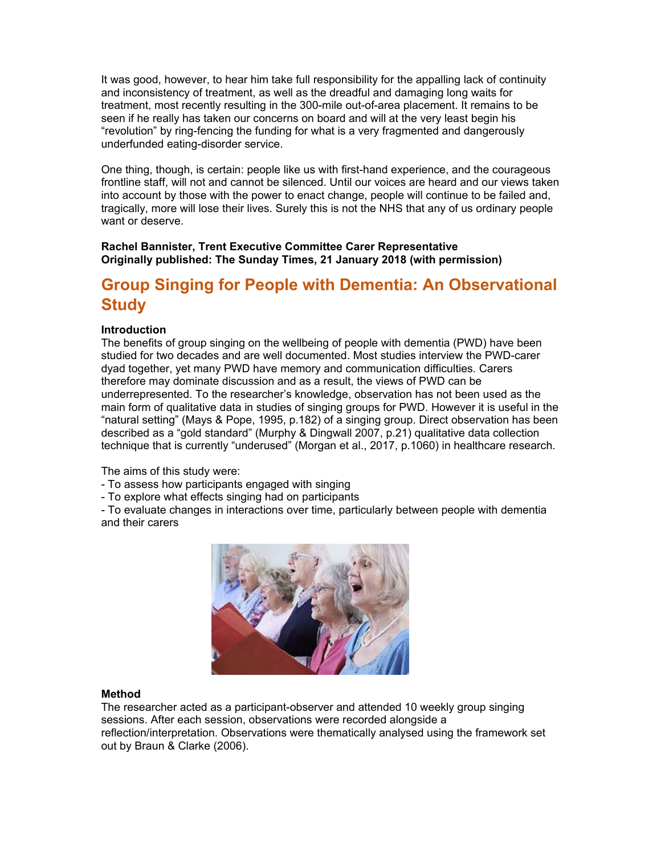It was good, however, to hear him take full responsibility for the appalling lack of continuity and inconsistency of treatment, as well as the dreadful and damaging long waits for treatment, most recently resulting in the 300-mile out-of-area placement. It remains to be seen if he really has taken our concerns on board and will at the very least begin his "revolution" by ring-fencing the funding for what is a very fragmented and dangerously underfunded eating-disorder service.

One thing, though, is certain: people like us with first-hand experience, and the courageous frontline staff, will not and cannot be silenced. Until our voices are heard and our views taken into account by those with the power to enact change, people will continue to be failed and, tragically, more will lose their lives. Surely this is not the NHS that any of us ordinary people want or deserve.

#### **Rachel Bannister, Trent Executive Committee Carer Representative Originally published: The Sunday Times, 21 January 2018 (with permission)**

# **Group Singing for People with Dementia: An Observational Study**

## **Introduction**

The benefits of group singing on the wellbeing of people with dementia (PWD) have been studied for two decades and are well documented. Most studies interview the PWD-carer dyad together, yet many PWD have memory and communication difficulties. Carers therefore may dominate discussion and as a result, the views of PWD can be underrepresented. To the researcher's knowledge, observation has not been used as the main form of qualitative data in studies of singing groups for PWD. However it is useful in the "natural setting" (Mays & Pope, 1995, p.182) of a singing group. Direct observation has been described as a "gold standard" (Murphy & Dingwall 2007, p.21) qualitative data collection technique that is currently "underused" (Morgan et al., 2017, p.1060) in healthcare research.

The aims of this study were:

- To assess how participants engaged with singing
- To explore what effects singing had on participants

- To evaluate changes in interactions over time, particularly between people with dementia and their carers



#### **Method**

The researcher acted as a participant-observer and attended 10 weekly group singing sessions. After each session, observations were recorded alongside a reflection/interpretation. Observations were thematically analysed using the framework set out by Braun & Clarke (2006).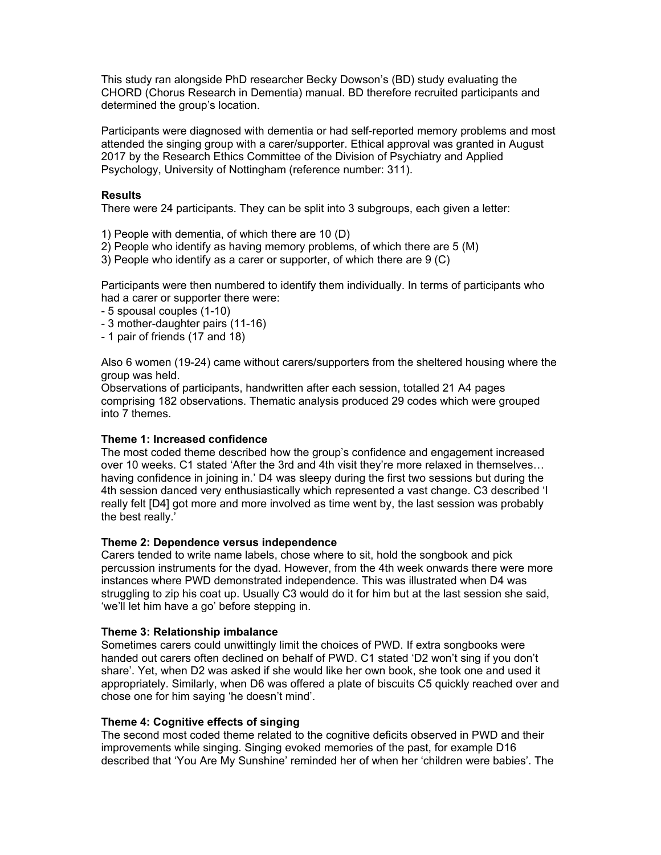This study ran alongside PhD researcher Becky Dowson's (BD) study evaluating the CHORD (Chorus Research in Dementia) manual. BD therefore recruited participants and determined the group's location.

Participants were diagnosed with dementia or had self-reported memory problems and most attended the singing group with a carer/supporter. Ethical approval was granted in August 2017 by the Research Ethics Committee of the Division of Psychiatry and Applied Psychology, University of Nottingham (reference number: 311).

#### **Results**

There were 24 participants. They can be split into 3 subgroups, each given a letter:

- 1) People with dementia, of which there are 10 (D)
- 2) People who identify as having memory problems, of which there are 5 (M)

3) People who identify as a carer or supporter, of which there are 9 (C)

Participants were then numbered to identify them individually. In terms of participants who had a carer or supporter there were:

- 5 spousal couples (1-10)
- 3 mother-daughter pairs (11-16)
- 1 pair of friends (17 and 18)

Also 6 women (19-24) came without carers/supporters from the sheltered housing where the group was held.

Observations of participants, handwritten after each session, totalled 21 A4 pages comprising 182 observations. Thematic analysis produced 29 codes which were grouped into 7 themes.

#### **Theme 1: Increased confidence**

The most coded theme described how the group's confidence and engagement increased over 10 weeks. C1 stated 'After the 3rd and 4th visit they're more relaxed in themselves… having confidence in joining in.' D4 was sleepy during the first two sessions but during the 4th session danced very enthusiastically which represented a vast change. C3 described 'I really felt [D4] got more and more involved as time went by, the last session was probably the best really.'

#### **Theme 2: Dependence versus independence**

Carers tended to write name labels, chose where to sit, hold the songbook and pick percussion instruments for the dyad. However, from the 4th week onwards there were more instances where PWD demonstrated independence. This was illustrated when D4 was struggling to zip his coat up. Usually C3 would do it for him but at the last session she said, 'we'll let him have a go' before stepping in.

#### **Theme 3: Relationship imbalance**

Sometimes carers could unwittingly limit the choices of PWD. If extra songbooks were handed out carers often declined on behalf of PWD. C1 stated 'D2 won't sing if you don't share'. Yet, when D2 was asked if she would like her own book, she took one and used it appropriately. Similarly, when D6 was offered a plate of biscuits C5 quickly reached over and chose one for him saying 'he doesn't mind'.

#### **Theme 4: Cognitive effects of singing**

The second most coded theme related to the cognitive deficits observed in PWD and their improvements while singing. Singing evoked memories of the past, for example D16 described that 'You Are My Sunshine' reminded her of when her 'children were babies'. The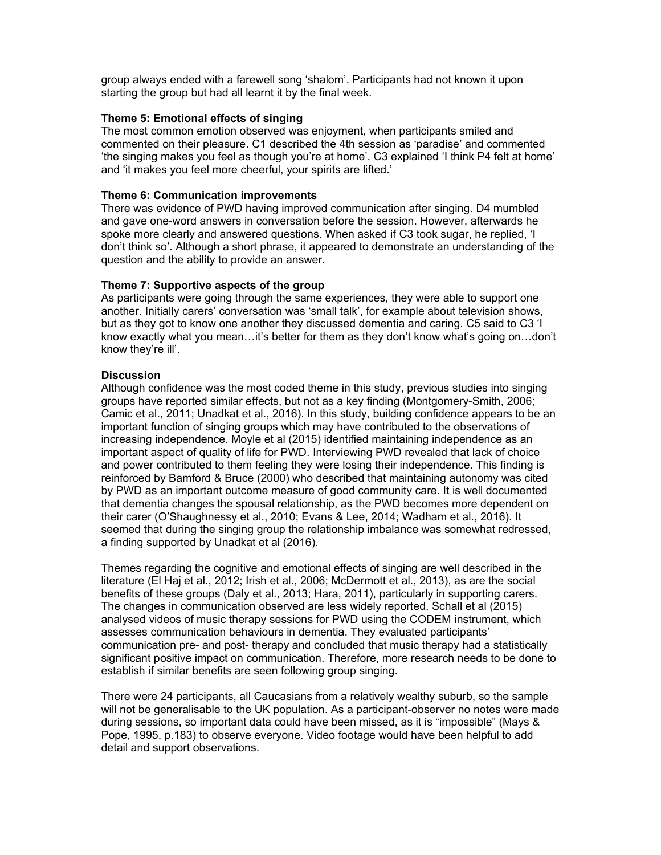group always ended with a farewell song 'shalom'. Participants had not known it upon starting the group but had all learnt it by the final week.

#### **Theme 5: Emotional effects of singing**

The most common emotion observed was enjoyment, when participants smiled and commented on their pleasure. C1 described the 4th session as 'paradise' and commented 'the singing makes you feel as though you're at home'. C3 explained 'I think P4 felt at home' and 'it makes you feel more cheerful, your spirits are lifted.'

#### **Theme 6: Communication improvements**

There was evidence of PWD having improved communication after singing. D4 mumbled and gave one-word answers in conversation before the session. However, afterwards he spoke more clearly and answered questions. When asked if C3 took sugar, he replied, 'I don't think so'. Although a short phrase, it appeared to demonstrate an understanding of the question and the ability to provide an answer.

#### **Theme 7: Supportive aspects of the group**

As participants were going through the same experiences, they were able to support one another. Initially carers' conversation was 'small talk', for example about television shows, but as they got to know one another they discussed dementia and caring. C5 said to C3 'I know exactly what you mean…it's better for them as they don't know what's going on…don't know they're ill'.

#### **Discussion**

Although confidence was the most coded theme in this study, previous studies into singing groups have reported similar effects, but not as a key finding (Montgomery-Smith, 2006; Camic et al., 2011; Unadkat et al., 2016). In this study, building confidence appears to be an important function of singing groups which may have contributed to the observations of increasing independence. Moyle et al (2015) identified maintaining independence as an important aspect of quality of life for PWD. Interviewing PWD revealed that lack of choice and power contributed to them feeling they were losing their independence. This finding is reinforced by Bamford & Bruce (2000) who described that maintaining autonomy was cited by PWD as an important outcome measure of good community care. It is well documented that dementia changes the spousal relationship, as the PWD becomes more dependent on their carer (O'Shaughnessy et al., 2010; Evans & Lee, 2014; Wadham et al., 2016). It seemed that during the singing group the relationship imbalance was somewhat redressed, a finding supported by Unadkat et al (2016).

Themes regarding the cognitive and emotional effects of singing are well described in the literature (El Haj et al., 2012; Irish et al., 2006; McDermott et al., 2013), as are the social benefits of these groups (Daly et al., 2013; Hara, 2011), particularly in supporting carers. The changes in communication observed are less widely reported. Schall et al (2015) analysed videos of music therapy sessions for PWD using the CODEM instrument, which assesses communication behaviours in dementia. They evaluated participants' communication pre- and post- therapy and concluded that music therapy had a statistically significant positive impact on communication. Therefore, more research needs to be done to establish if similar benefits are seen following group singing.

There were 24 participants, all Caucasians from a relatively wealthy suburb, so the sample will not be generalisable to the UK population. As a participant-observer no notes were made during sessions, so important data could have been missed, as it is "impossible" (Mays & Pope, 1995, p.183) to observe everyone. Video footage would have been helpful to add detail and support observations.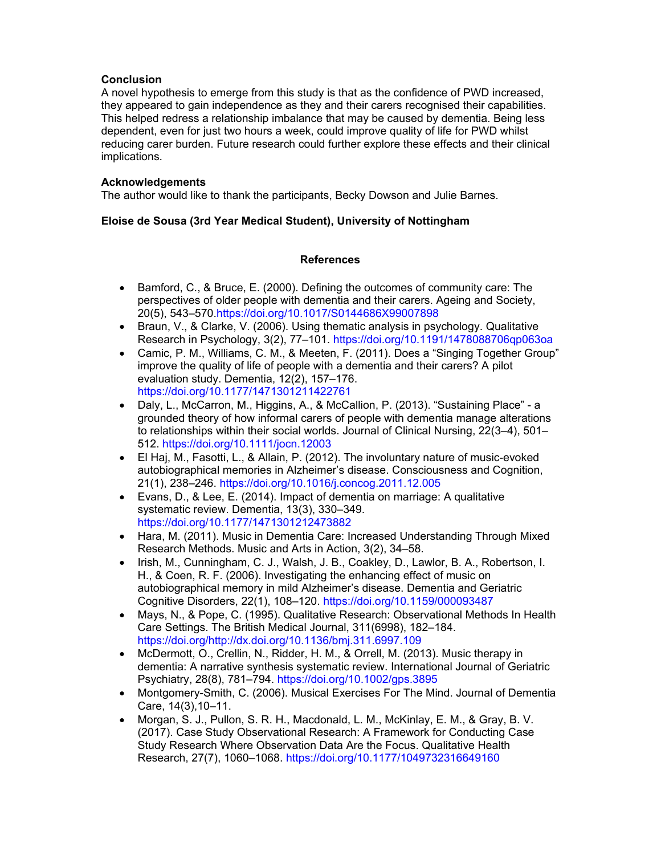## **Conclusion**

A novel hypothesis to emerge from this study is that as the confidence of PWD increased, they appeared to gain independence as they and their carers recognised their capabilities. This helped redress a relationship imbalance that may be caused by dementia. Being less dependent, even for just two hours a week, could improve quality of life for PWD whilst reducing carer burden. Future research could further explore these effects and their clinical implications.

## **Acknowledgements**

The author would like to thank the participants, Becky Dowson and Julie Barnes.

## **Eloise de Sousa (3rd Year Medical Student), University of Nottingham**

## **References**

- Bamford, C., & Bruce, E. (2000). Defining the outcomes of community care: The perspectives of older people with dementia and their carers. Ageing and Society, 20(5), 543–570.https://doi.org/10.1017/S0144686X99007898
- Braun, V., & Clarke, V. (2006). Using thematic analysis in psychology. Qualitative Research in Psychology, 3(2), 77–101. https://doi.org/10.1191/1478088706qp063oa
- Camic, P. M., Williams, C. M., & Meeten, F. (2011). Does a "Singing Together Group" improve the quality of life of people with a dementia and their carers? A pilot evaluation study. Dementia, 12(2), 157–176. https://doi.org/10.1177/1471301211422761
- Daly, L., McCarron, M., Higgins, A., & McCallion, P. (2013). "Sustaining Place" a grounded theory of how informal carers of people with dementia manage alterations to relationships within their social worlds. Journal of Clinical Nursing, 22(3–4), 501– 512. https://doi.org/10.1111/jocn.12003
- El Haj, M., Fasotti, L., & Allain, P. (2012). The involuntary nature of music-evoked autobiographical memories in Alzheimer's disease. Consciousness and Cognition, 21(1), 238–246. https://doi.org/10.1016/j.concog.2011.12.005
- Evans, D., & Lee, E. (2014). Impact of dementia on marriage: A qualitative systematic review. Dementia, 13(3), 330–349. https://doi.org/10.1177/1471301212473882
- Hara, M. (2011). Music in Dementia Care: Increased Understanding Through Mixed Research Methods. Music and Arts in Action, 3(2), 34–58.
- Irish, M., Cunningham, C. J., Walsh, J. B., Coakley, D., Lawlor, B. A., Robertson, I. H., & Coen, R. F. (2006). Investigating the enhancing effect of music on autobiographical memory in mild Alzheimer's disease. Dementia and Geriatric Cognitive Disorders, 22(1), 108–120. https://doi.org/10.1159/000093487
- Mays, N., & Pope, C. (1995). Qualitative Research: Observational Methods In Health Care Settings. The British Medical Journal, 311(6998), 182–184. https://doi.org/http://dx.doi.org/10.1136/bmj.311.6997.109
- McDermott, O., Crellin, N., Ridder, H. M., & Orrell, M. (2013). Music therapy in dementia: A narrative synthesis systematic review. International Journal of Geriatric Psychiatry, 28(8), 781–794. https://doi.org/10.1002/gps.3895
- Montgomery-Smith, C. (2006). Musical Exercises For The Mind. Journal of Dementia Care, 14(3),10–11.
- Morgan, S. J., Pullon, S. R. H., Macdonald, L. M., McKinlay, E. M., & Gray, B. V. (2017). Case Study Observational Research: A Framework for Conducting Case Study Research Where Observation Data Are the Focus. Qualitative Health Research, 27(7), 1060–1068. https://doi.org/10.1177/1049732316649160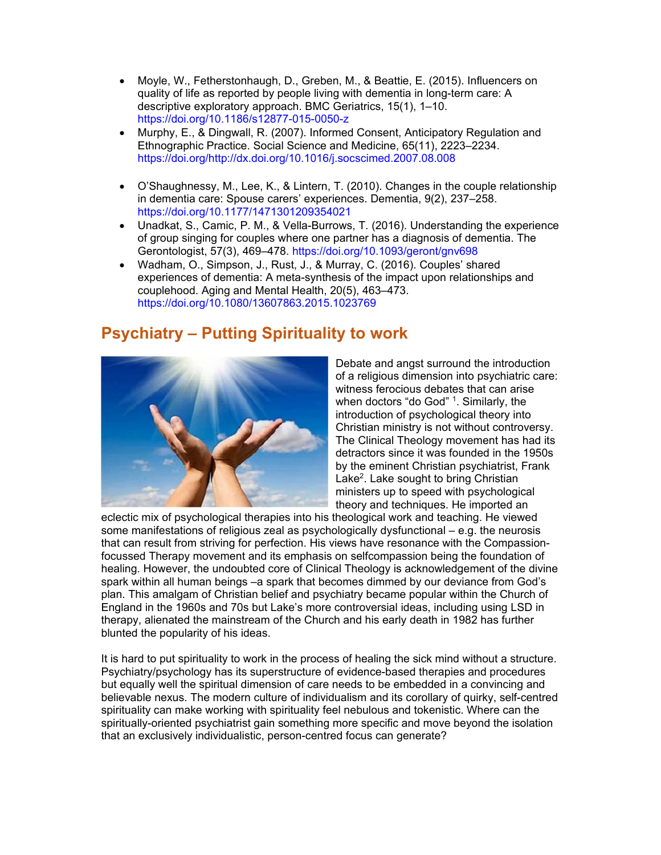- Moyle, W., Fetherstonhaugh, D., Greben, M., & Beattie, E. (2015). Influencers on quality of life as reported by people living with dementia in long-term care: A descriptive exploratory approach. BMC Geriatrics, 15(1), 1–10. https://doi.org/10.1186/s12877-015-0050-z
- Murphy, E., & Dingwall, R. (2007). Informed Consent, Anticipatory Regulation and Ethnographic Practice. Social Science and Medicine, 65(11), 2223–2234. https://doi.org/http://dx.doi.org/10.1016/j.socscimed.2007.08.008
- O'Shaughnessy, M., Lee, K., & Lintern, T. (2010). Changes in the couple relationship in dementia care: Spouse carers' experiences. Dementia, 9(2), 237–258. https://doi.org/10.1177/1471301209354021
- Unadkat, S., Camic, P. M., & Vella-Burrows, T. (2016). Understanding the experience of group singing for couples where one partner has a diagnosis of dementia. The Gerontologist, 57(3), 469–478. https://doi.org/10.1093/geront/gnv698
- Wadham, O., Simpson, J., Rust, J., & Murray, C. (2016). Couples' shared experiences of dementia: A meta-synthesis of the impact upon relationships and couplehood. Aging and Mental Health, 20(5), 463–473. https://doi.org/10.1080/13607863.2015.1023769

## **Psychiatry – Putting Spirituality to work**



Debate and angst surround the introduction of a religious dimension into psychiatric care: witness ferocious debates that can arise when doctors "do God" <sup>1</sup>. Similarly, the introduction of psychological theory into Christian ministry is not without controversy. The Clinical Theology movement has had its detractors since it was founded in the 1950s by the eminent Christian psychiatrist, Frank Lake<sup>2</sup>. Lake sought to bring Christian ministers up to speed with psychological theory and techniques. He imported an

eclectic mix of psychological therapies into his theological work and teaching. He viewed some manifestations of religious zeal as psychologically dysfunctional – e.g. the neurosis that can result from striving for perfection. His views have resonance with the Compassionfocussed Therapy movement and its emphasis on selfcompassion being the foundation of healing. However, the undoubted core of Clinical Theology is acknowledgement of the divine spark within all human beings –a spark that becomes dimmed by our deviance from God's plan. This amalgam of Christian belief and psychiatry became popular within the Church of England in the 1960s and 70s but Lake's more controversial ideas, including using LSD in therapy, alienated the mainstream of the Church and his early death in 1982 has further blunted the popularity of his ideas.

It is hard to put spirituality to work in the process of healing the sick mind without a structure. Psychiatry/psychology has its superstructure of evidence-based therapies and procedures but equally well the spiritual dimension of care needs to be embedded in a convincing and believable nexus. The modern culture of individualism and its corollary of quirky, self-centred spirituality can make working with spirituality feel nebulous and tokenistic. Where can the spiritually-oriented psychiatrist gain something more specific and move beyond the isolation that an exclusively individualistic, person-centred focus can generate?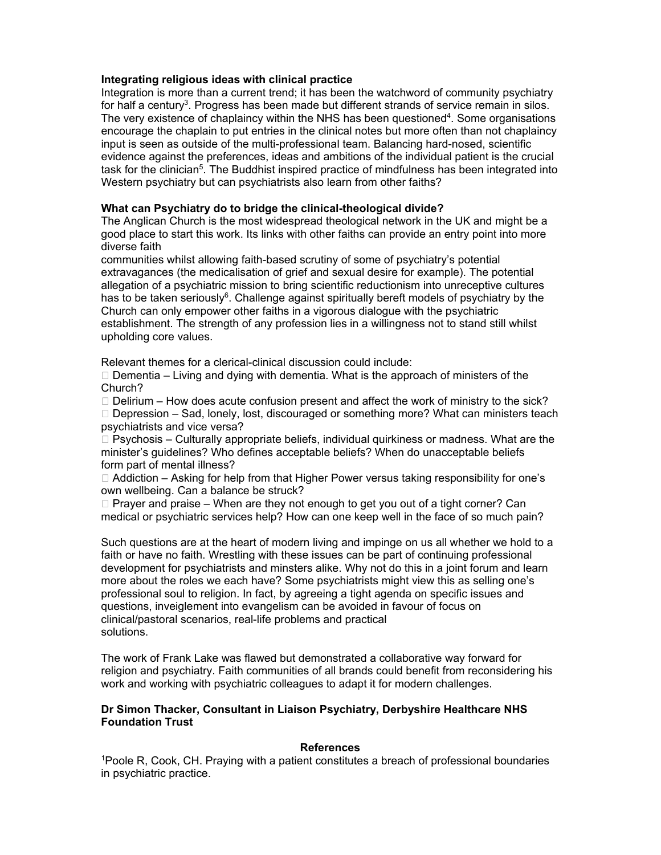#### **Integrating religious ideas with clinical practice**

Integration is more than a current trend; it has been the watchword of community psychiatry for half a century<sup>3</sup>. Progress has been made but different strands of service remain in silos. The very existence of chaplaincy within the NHS has been questioned<sup>4</sup>. Some organisations encourage the chaplain to put entries in the clinical notes but more often than not chaplaincy input is seen as outside of the multi-professional team. Balancing hard-nosed, scientific evidence against the preferences, ideas and ambitions of the individual patient is the crucial task for the clinician<sup>5</sup>. The Buddhist inspired practice of mindfulness has been integrated into Western psychiatry but can psychiatrists also learn from other faiths?

## **What can Psychiatry do to bridge the clinical-theological divide?**

The Anglican Church is the most widespread theological network in the UK and might be a good place to start this work. Its links with other faiths can provide an entry point into more diverse faith

communities whilst allowing faith-based scrutiny of some of psychiatry's potential extravagances (the medicalisation of grief and sexual desire for example). The potential allegation of a psychiatric mission to bring scientific reductionism into unreceptive cultures has to be taken seriously<sup>6</sup>. Challenge against spiritually bereft models of psychiatry by the Church can only empower other faiths in a vigorous dialogue with the psychiatric establishment. The strength of any profession lies in a willingness not to stand still whilst upholding core values.

Relevant themes for a clerical-clinical discussion could include:

 $\Box$  Dementia – Living and dying with dementia. What is the approach of ministers of the Church?

 $\Box$  Delirium – How does acute confusion present and affect the work of ministry to the sick?

 $\Box$  Depression – Sad, lonely, lost, discouraged or something more? What can ministers teach psychiatrists and vice versa?

 $\Box$  Psychosis – Culturally appropriate beliefs, individual quirkiness or madness. What are the minister's guidelines? Who defines acceptable beliefs? When do unacceptable beliefs form part of mental illness?

 $\Box$  Addiction – Asking for help from that Higher Power versus taking responsibility for one's own wellbeing. Can a balance be struck?

 $\Box$  Prayer and praise – When are they not enough to get you out of a tight corner? Can medical or psychiatric services help? How can one keep well in the face of so much pain?

Such questions are at the heart of modern living and impinge on us all whether we hold to a faith or have no faith. Wrestling with these issues can be part of continuing professional development for psychiatrists and minsters alike. Why not do this in a joint forum and learn more about the roles we each have? Some psychiatrists might view this as selling one's professional soul to religion. In fact, by agreeing a tight agenda on specific issues and questions, inveiglement into evangelism can be avoided in favour of focus on clinical/pastoral scenarios, real-life problems and practical solutions.

The work of Frank Lake was flawed but demonstrated a collaborative way forward for religion and psychiatry. Faith communities of all brands could benefit from reconsidering his work and working with psychiatric colleagues to adapt it for modern challenges.

## **Dr Simon Thacker, Consultant in Liaison Psychiatry, Derbyshire Healthcare NHS Foundation Trust**

## **References**

1 Poole R, Cook, CH. Praying with a patient constitutes a breach of professional boundaries in psychiatric practice.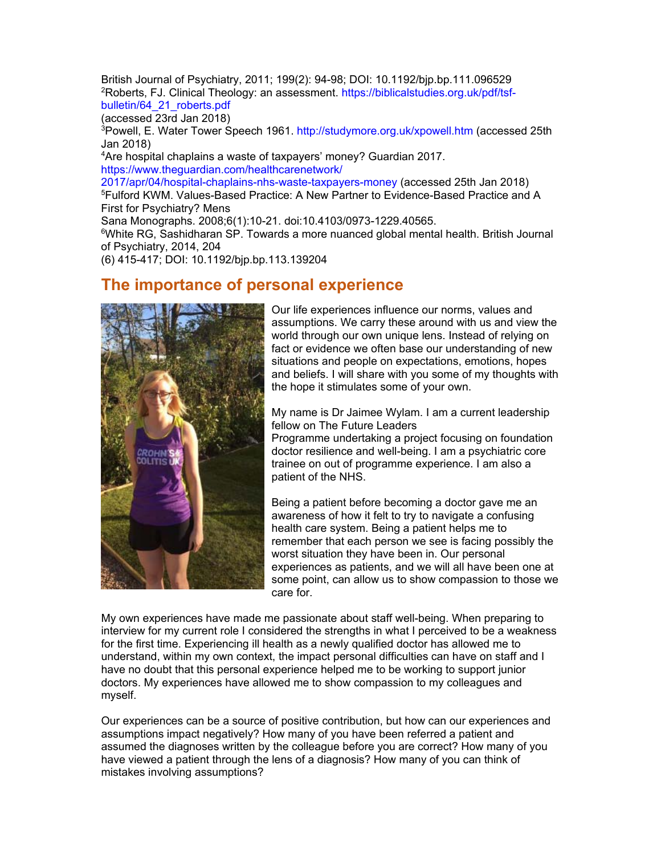British Journal of Psychiatry, 2011; 199(2): 94-98; DOI: 10.1192/bjp.bp.111.096529 <sup>2</sup>Roberts, FJ. Clinical Theology: an assessment. https://biblicalstudies.org.uk/pdf/tsfbulletin/64\_21\_roberts.pdf

(accessed 23rd Jan 2018)

<sup>3</sup>Powell, E. Water Tower Speech 1961. http://studymore.org.uk/xpowell.htm (accessed 25th Jan 2018)

4 Are hospital chaplains a waste of taxpayers' money? Guardian 2017. https://www.theguardian.com/healthcarenetwork/

2017/apr/04/hospital-chaplains-nhs-waste-taxpayers-money (accessed 25th Jan 2018) 5 Fulford KWM. Values-Based Practice: A New Partner to Evidence-Based Practice and A First for Psychiatry? Mens

Sana Monographs. 2008;6(1):10-21. doi:10.4103/0973-1229.40565.

<sup>6</sup>White RG, Sashidharan SP. Towards a more nuanced global mental health. British Journal of Psychiatry, 2014, 204

(6) 415-417; DOI: 10.1192/bjp.bp.113.139204

## **The importance of personal experience**



Our life experiences influence our norms, values and assumptions. We carry these around with us and view the world through our own unique lens. Instead of relying on fact or evidence we often base our understanding of new situations and people on expectations, emotions, hopes and beliefs. I will share with you some of my thoughts with the hope it stimulates some of your own.

My name is Dr Jaimee Wylam. I am a current leadership fellow on The Future Leaders

Programme undertaking a project focusing on foundation doctor resilience and well-being. I am a psychiatric core trainee on out of programme experience. I am also a patient of the NHS.

Being a patient before becoming a doctor gave me an awareness of how it felt to try to navigate a confusing health care system. Being a patient helps me to remember that each person we see is facing possibly the worst situation they have been in. Our personal experiences as patients, and we will all have been one at some point, can allow us to show compassion to those we care for.

My own experiences have made me passionate about staff well-being. When preparing to interview for my current role I considered the strengths in what I perceived to be a weakness for the first time. Experiencing ill health as a newly qualified doctor has allowed me to understand, within my own context, the impact personal difficulties can have on staff and I have no doubt that this personal experience helped me to be working to support junior doctors. My experiences have allowed me to show compassion to my colleagues and myself.

Our experiences can be a source of positive contribution, but how can our experiences and assumptions impact negatively? How many of you have been referred a patient and assumed the diagnoses written by the colleague before you are correct? How many of you have viewed a patient through the lens of a diagnosis? How many of you can think of mistakes involving assumptions?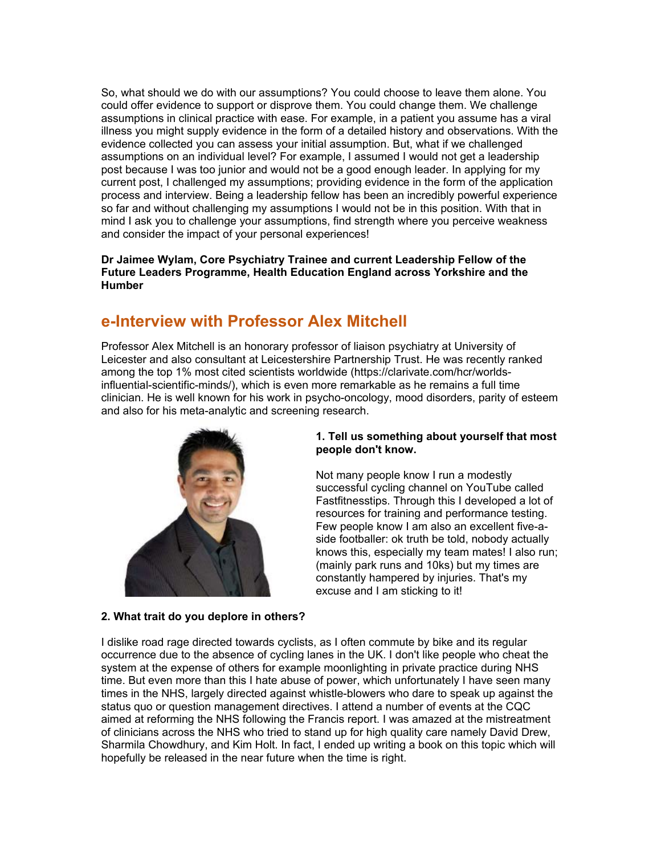So, what should we do with our assumptions? You could choose to leave them alone. You could offer evidence to support or disprove them. You could change them. We challenge assumptions in clinical practice with ease. For example, in a patient you assume has a viral illness you might supply evidence in the form of a detailed history and observations. With the evidence collected you can assess your initial assumption. But, what if we challenged assumptions on an individual level? For example, I assumed I would not get a leadership post because I was too junior and would not be a good enough leader. In applying for my current post, I challenged my assumptions; providing evidence in the form of the application process and interview. Being a leadership fellow has been an incredibly powerful experience so far and without challenging my assumptions I would not be in this position. With that in mind I ask you to challenge your assumptions, find strength where you perceive weakness and consider the impact of your personal experiences!

**Dr Jaimee Wylam, Core Psychiatry Trainee and current Leadership Fellow of the Future Leaders Programme, Health Education England across Yorkshire and the Humber** 

## **e-Interview with Professor Alex Mitchell**

Professor Alex Mitchell is an honorary professor of liaison psychiatry at University of Leicester and also consultant at Leicestershire Partnership Trust. He was recently ranked among the top 1% most cited scientists worldwide (https://clarivate.com/hcr/worldsinfluential-scientific-minds/), which is even more remarkable as he remains a full time clinician. He is well known for his work in psycho-oncology, mood disorders, parity of esteem and also for his meta-analytic and screening research.



#### **1. Tell us something about yourself that most people don't know.**

Not many people know I run a modestly successful cycling channel on YouTube called Fastfitnesstips. Through this I developed a lot of resources for training and performance testing. Few people know I am also an excellent five-aside footballer: ok truth be told, nobody actually knows this, especially my team mates! I also run; (mainly park runs and 10ks) but my times are constantly hampered by injuries. That's my excuse and I am sticking to it!

#### **2. What trait do you deplore in others?**

I dislike road rage directed towards cyclists, as I often commute by bike and its regular occurrence due to the absence of cycling lanes in the UK. I don't like people who cheat the system at the expense of others for example moonlighting in private practice during NHS time. But even more than this I hate abuse of power, which unfortunately I have seen many times in the NHS, largely directed against whistle-blowers who dare to speak up against the status quo or question management directives. I attend a number of events at the CQC aimed at reforming the NHS following the Francis report. I was amazed at the mistreatment of clinicians across the NHS who tried to stand up for high quality care namely David Drew, Sharmila Chowdhury, and Kim Holt. In fact, I ended up writing a book on this topic which will hopefully be released in the near future when the time is right.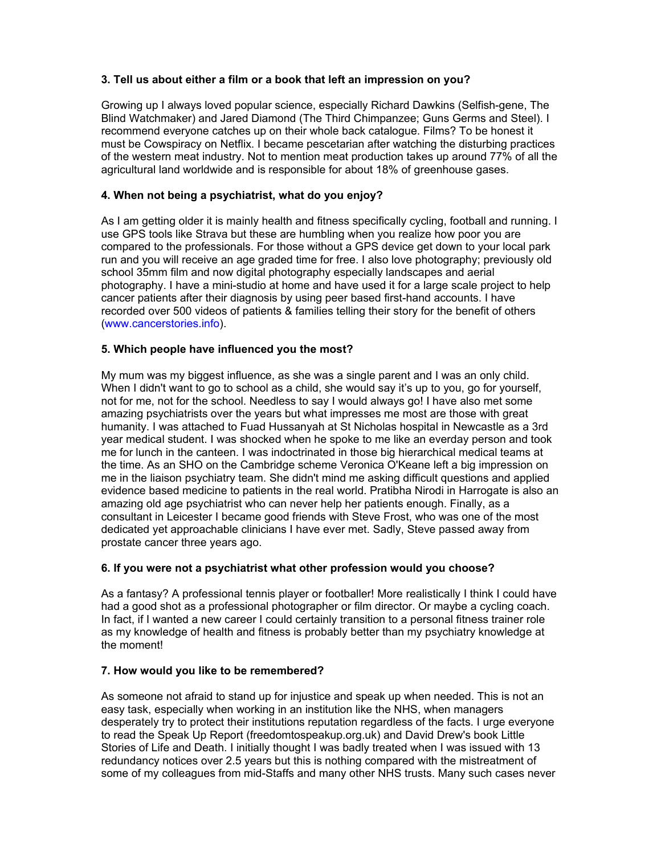## **3. Tell us about either a film or a book that left an impression on you?**

Growing up I always loved popular science, especially Richard Dawkins (Selfish-gene, The Blind Watchmaker) and Jared Diamond (The Third Chimpanzee; Guns Germs and Steel). I recommend everyone catches up on their whole back catalogue. Films? To be honest it must be Cowspiracy on Netflix. I became pescetarian after watching the disturbing practices of the western meat industry. Not to mention meat production takes up around 77% of all the agricultural land worldwide and is responsible for about 18% of greenhouse gases.

## **4. When not being a psychiatrist, what do you enjoy?**

As I am getting older it is mainly health and fitness specifically cycling, football and running. I use GPS tools like Strava but these are humbling when you realize how poor you are compared to the professionals. For those without a GPS device get down to your local park run and you will receive an age graded time for free. I also love photography; previously old school 35mm film and now digital photography especially landscapes and aerial photography. I have a mini-studio at home and have used it for a large scale project to help cancer patients after their diagnosis by using peer based first-hand accounts. I have recorded over 500 videos of patients & families telling their story for the benefit of others (www.cancerstories.info).

## **5. Which people have influenced you the most?**

My mum was my biggest influence, as she was a single parent and I was an only child. When I didn't want to go to school as a child, she would say it's up to you, go for yourself, not for me, not for the school. Needless to say I would always go! I have also met some amazing psychiatrists over the years but what impresses me most are those with great humanity. I was attached to Fuad Hussanyah at St Nicholas hospital in Newcastle as a 3rd year medical student. I was shocked when he spoke to me like an everday person and took me for lunch in the canteen. I was indoctrinated in those big hierarchical medical teams at the time. As an SHO on the Cambridge scheme Veronica O'Keane left a big impression on me in the liaison psychiatry team. She didn't mind me asking difficult questions and applied evidence based medicine to patients in the real world. Pratibha Nirodi in Harrogate is also an amazing old age psychiatrist who can never help her patients enough. Finally, as a consultant in Leicester I became good friends with Steve Frost, who was one of the most dedicated yet approachable clinicians I have ever met. Sadly, Steve passed away from prostate cancer three years ago.

## **6. If you were not a psychiatrist what other profession would you choose?**

As a fantasy? A professional tennis player or footballer! More realistically I think I could have had a good shot as a professional photographer or film director. Or maybe a cycling coach. In fact, if I wanted a new career I could certainly transition to a personal fitness trainer role as my knowledge of health and fitness is probably better than my psychiatry knowledge at the moment!

## **7. How would you like to be remembered?**

As someone not afraid to stand up for injustice and speak up when needed. This is not an easy task, especially when working in an institution like the NHS, when managers desperately try to protect their institutions reputation regardless of the facts. I urge everyone to read the Speak Up Report (freedomtospeakup.org.uk) and David Drew's book Little Stories of Life and Death. I initially thought I was badly treated when I was issued with 13 redundancy notices over 2.5 years but this is nothing compared with the mistreatment of some of my colleagues from mid-Staffs and many other NHS trusts. Many such cases never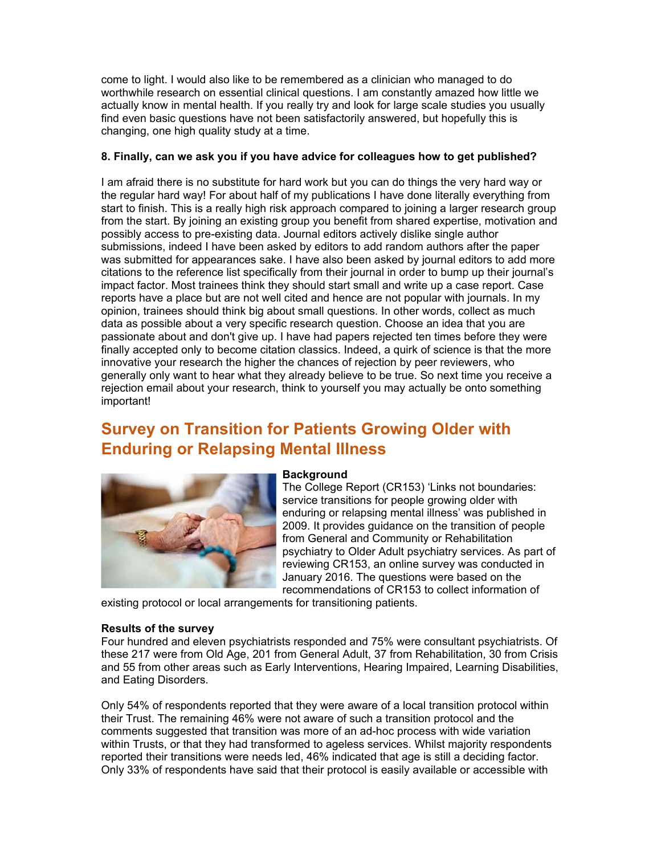come to light. I would also like to be remembered as a clinician who managed to do worthwhile research on essential clinical questions. I am constantly amazed how little we actually know in mental health. If you really try and look for large scale studies you usually find even basic questions have not been satisfactorily answered, but hopefully this is changing, one high quality study at a time.

#### **8. Finally, can we ask you if you have advice for colleagues how to get published?**

I am afraid there is no substitute for hard work but you can do things the very hard way or the regular hard way! For about half of my publications I have done literally everything from start to finish. This is a really high risk approach compared to joining a larger research group from the start. By joining an existing group you benefit from shared expertise, motivation and possibly access to pre-existing data. Journal editors actively dislike single author submissions, indeed I have been asked by editors to add random authors after the paper was submitted for appearances sake. I have also been asked by journal editors to add more citations to the reference list specifically from their journal in order to bump up their journal's impact factor. Most trainees think they should start small and write up a case report. Case reports have a place but are not well cited and hence are not popular with journals. In my opinion, trainees should think big about small questions. In other words, collect as much data as possible about a very specific research question. Choose an idea that you are passionate about and don't give up. I have had papers rejected ten times before they were finally accepted only to become citation classics. Indeed, a quirk of science is that the more innovative your research the higher the chances of rejection by peer reviewers, who generally only want to hear what they already believe to be true. So next time you receive a rejection email about your research, think to yourself you may actually be onto something important!

# **Survey on Transition for Patients Growing Older with Enduring or Relapsing Mental Illness**



#### **Background**

The College Report (CR153) 'Links not boundaries: service transitions for people growing older with enduring or relapsing mental illness' was published in 2009. It provides guidance on the transition of people from General and Community or Rehabilitation psychiatry to Older Adult psychiatry services. As part of reviewing CR153, an online survey was conducted in January 2016. The questions were based on the recommendations of CR153 to collect information of

existing protocol or local arrangements for transitioning patients.

#### **Results of the survey**

Four hundred and eleven psychiatrists responded and 75% were consultant psychiatrists. Of these 217 were from Old Age, 201 from General Adult, 37 from Rehabilitation, 30 from Crisis and 55 from other areas such as Early Interventions, Hearing Impaired, Learning Disabilities, and Eating Disorders.

Only 54% of respondents reported that they were aware of a local transition protocol within their Trust. The remaining 46% were not aware of such a transition protocol and the comments suggested that transition was more of an ad-hoc process with wide variation within Trusts, or that they had transformed to ageless services. Whilst majority respondents reported their transitions were needs led, 46% indicated that age is still a deciding factor. Only 33% of respondents have said that their protocol is easily available or accessible with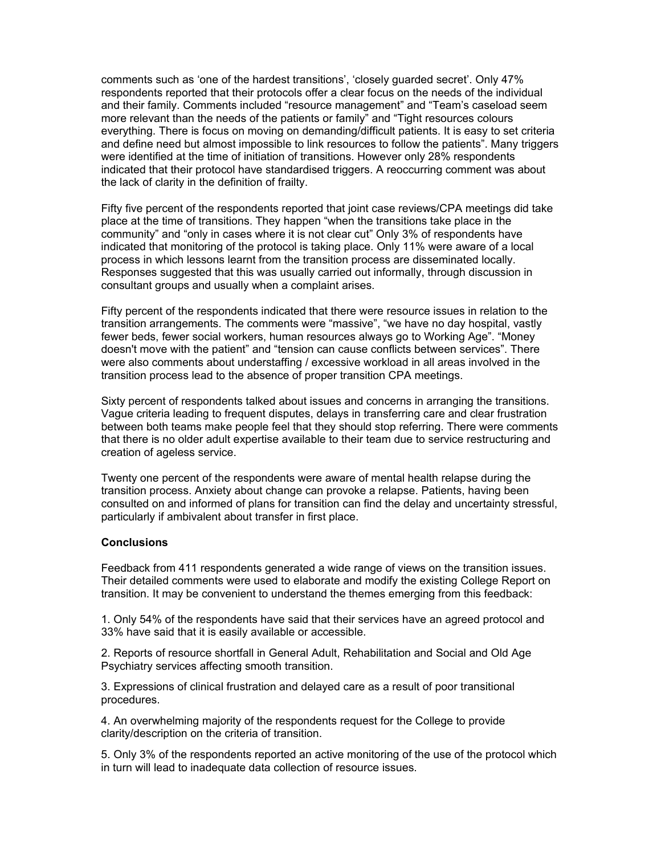comments such as 'one of the hardest transitions', 'closely guarded secret'. Only 47% respondents reported that their protocols offer a clear focus on the needs of the individual and their family. Comments included "resource management" and "Team's caseload seem more relevant than the needs of the patients or family" and "Tight resources colours everything. There is focus on moving on demanding/difficult patients. It is easy to set criteria and define need but almost impossible to link resources to follow the patients". Many triggers were identified at the time of initiation of transitions. However only 28% respondents indicated that their protocol have standardised triggers. A reoccurring comment was about the lack of clarity in the definition of frailty.

Fifty five percent of the respondents reported that joint case reviews/CPA meetings did take place at the time of transitions. They happen "when the transitions take place in the community" and "only in cases where it is not clear cut" Only 3% of respondents have indicated that monitoring of the protocol is taking place. Only 11% were aware of a local process in which lessons learnt from the transition process are disseminated locally. Responses suggested that this was usually carried out informally, through discussion in consultant groups and usually when a complaint arises.

Fifty percent of the respondents indicated that there were resource issues in relation to the transition arrangements. The comments were "massive", "we have no day hospital, vastly fewer beds, fewer social workers, human resources always go to Working Age". "Money doesn't move with the patient" and "tension can cause conflicts between services". There were also comments about understaffing / excessive workload in all areas involved in the transition process lead to the absence of proper transition CPA meetings.

Sixty percent of respondents talked about issues and concerns in arranging the transitions. Vague criteria leading to frequent disputes, delays in transferring care and clear frustration between both teams make people feel that they should stop referring. There were comments that there is no older adult expertise available to their team due to service restructuring and creation of ageless service.

Twenty one percent of the respondents were aware of mental health relapse during the transition process. Anxiety about change can provoke a relapse. Patients, having been consulted on and informed of plans for transition can find the delay and uncertainty stressful, particularly if ambivalent about transfer in first place.

#### **Conclusions**

Feedback from 411 respondents generated a wide range of views on the transition issues. Their detailed comments were used to elaborate and modify the existing College Report on transition. It may be convenient to understand the themes emerging from this feedback:

1. Only 54% of the respondents have said that their services have an agreed protocol and 33% have said that it is easily available or accessible.

2. Reports of resource shortfall in General Adult, Rehabilitation and Social and Old Age Psychiatry services affecting smooth transition.

3. Expressions of clinical frustration and delayed care as a result of poor transitional procedures.

4. An overwhelming majority of the respondents request for the College to provide clarity/description on the criteria of transition.

5. Only 3% of the respondents reported an active monitoring of the use of the protocol which in turn will lead to inadequate data collection of resource issues.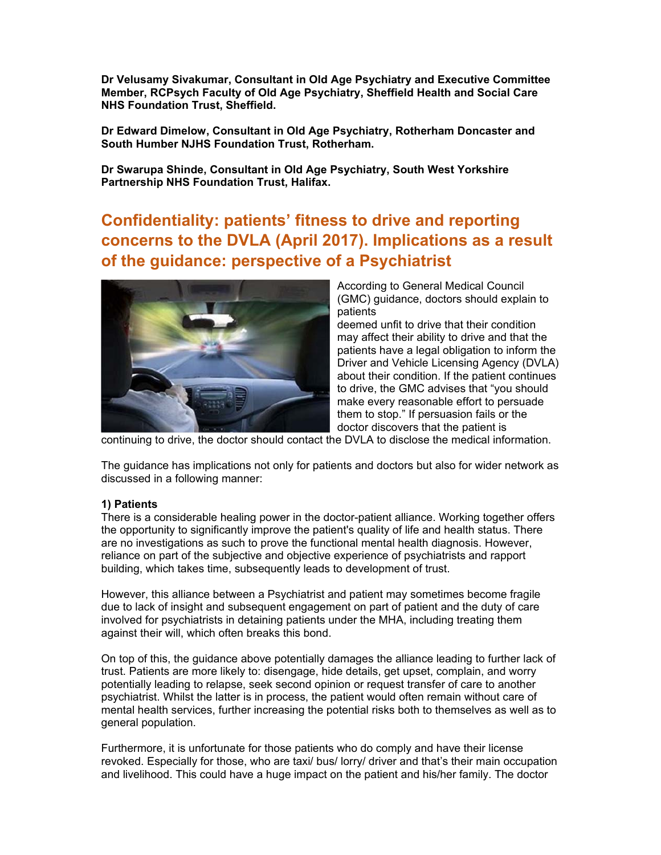**Dr Velusamy Sivakumar, Consultant in Old Age Psychiatry and Executive Committee Member, RCPsych Faculty of Old Age Psychiatry, Sheffield Health and Social Care NHS Foundation Trust, Sheffield.** 

**Dr Edward Dimelow, Consultant in Old Age Psychiatry, Rotherham Doncaster and South Humber NJHS Foundation Trust, Rotherham.** 

**Dr Swarupa Shinde, Consultant in Old Age Psychiatry, South West Yorkshire Partnership NHS Foundation Trust, Halifax.** 

**Confidentiality: patients' fitness to drive and reporting concerns to the DVLA (April 2017). Implications as a result of the guidance: perspective of a Psychiatrist** 



According to General Medical Council (GMC) guidance, doctors should explain to patients

deemed unfit to drive that their condition may affect their ability to drive and that the patients have a legal obligation to inform the Driver and Vehicle Licensing Agency (DVLA) about their condition. If the patient continues to drive, the GMC advises that "you should make every reasonable effort to persuade them to stop." If persuasion fails or the doctor discovers that the patient is

continuing to drive, the doctor should contact the DVLA to disclose the medical information.

The guidance has implications not only for patients and doctors but also for wider network as discussed in a following manner:

#### **1) Patients**

There is a considerable healing power in the doctor-patient alliance. Working together offers the opportunity to significantly improve the patient's quality of life and health status. There are no investigations as such to prove the functional mental health diagnosis. However, reliance on part of the subjective and objective experience of psychiatrists and rapport building, which takes time, subsequently leads to development of trust.

However, this alliance between a Psychiatrist and patient may sometimes become fragile due to lack of insight and subsequent engagement on part of patient and the duty of care involved for psychiatrists in detaining patients under the MHA, including treating them against their will, which often breaks this bond.

On top of this, the guidance above potentially damages the alliance leading to further lack of trust. Patients are more likely to: disengage, hide details, get upset, complain, and worry potentially leading to relapse, seek second opinion or request transfer of care to another psychiatrist. Whilst the latter is in process, the patient would often remain without care of mental health services, further increasing the potential risks both to themselves as well as to general population.

Furthermore, it is unfortunate for those patients who do comply and have their license revoked. Especially for those, who are taxi/ bus/ lorry/ driver and that's their main occupation and livelihood. This could have a huge impact on the patient and his/her family. The doctor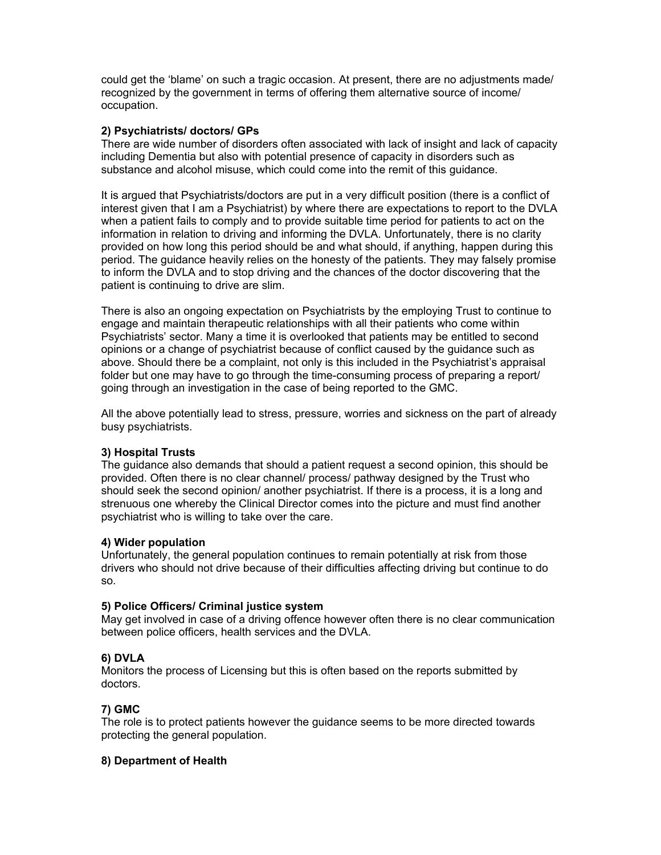could get the 'blame' on such a tragic occasion. At present, there are no adjustments made/ recognized by the government in terms of offering them alternative source of income/ occupation.

## **2) Psychiatrists/ doctors/ GPs**

There are wide number of disorders often associated with lack of insight and lack of capacity including Dementia but also with potential presence of capacity in disorders such as substance and alcohol misuse, which could come into the remit of this guidance.

It is argued that Psychiatrists/doctors are put in a very difficult position (there is a conflict of interest given that I am a Psychiatrist) by where there are expectations to report to the DVLA when a patient fails to comply and to provide suitable time period for patients to act on the information in relation to driving and informing the DVLA. Unfortunately, there is no clarity provided on how long this period should be and what should, if anything, happen during this period. The guidance heavily relies on the honesty of the patients. They may falsely promise to inform the DVLA and to stop driving and the chances of the doctor discovering that the patient is continuing to drive are slim.

There is also an ongoing expectation on Psychiatrists by the employing Trust to continue to engage and maintain therapeutic relationships with all their patients who come within Psychiatrists' sector. Many a time it is overlooked that patients may be entitled to second opinions or a change of psychiatrist because of conflict caused by the guidance such as above. Should there be a complaint, not only is this included in the Psychiatrist's appraisal folder but one may have to go through the time-consuming process of preparing a report/ going through an investigation in the case of being reported to the GMC.

All the above potentially lead to stress, pressure, worries and sickness on the part of already busy psychiatrists.

## **3) Hospital Trusts**

The guidance also demands that should a patient request a second opinion, this should be provided. Often there is no clear channel/ process/ pathway designed by the Trust who should seek the second opinion/ another psychiatrist. If there is a process, it is a long and strenuous one whereby the Clinical Director comes into the picture and must find another psychiatrist who is willing to take over the care.

## **4) Wider population**

Unfortunately, the general population continues to remain potentially at risk from those drivers who should not drive because of their difficulties affecting driving but continue to do so.

## **5) Police Officers/ Criminal justice system**

May get involved in case of a driving offence however often there is no clear communication between police officers, health services and the DVLA.

## **6) DVLA**

Monitors the process of Licensing but this is often based on the reports submitted by doctors.

## **7) GMC**

The role is to protect patients however the guidance seems to be more directed towards protecting the general population.

## **8) Department of Health**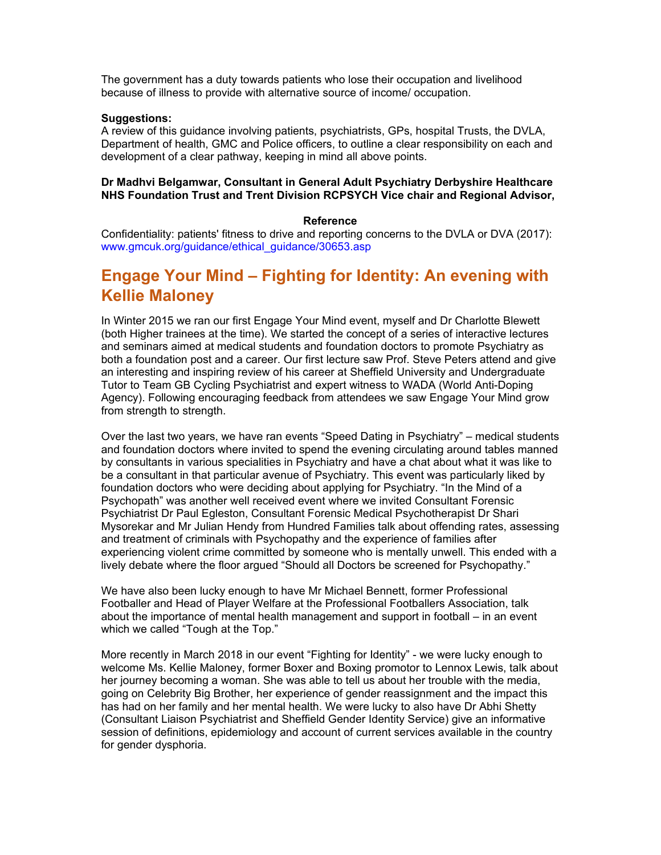The government has a duty towards patients who lose their occupation and livelihood because of illness to provide with alternative source of income/ occupation.

#### **Suggestions:**

A review of this guidance involving patients, psychiatrists, GPs, hospital Trusts, the DVLA, Department of health, GMC and Police officers, to outline a clear responsibility on each and development of a clear pathway, keeping in mind all above points.

#### **Dr Madhvi Belgamwar, Consultant in General Adult Psychiatry Derbyshire Healthcare NHS Foundation Trust and Trent Division RCPSYCH Vice chair and Regional Advisor,**

#### **Reference**

Confidentiality: patients' fitness to drive and reporting concerns to the DVLA or DVA (2017): www.gmcuk.org/guidance/ethical\_guidance/30653.asp

## **Engage Your Mind – Fighting for Identity: An evening with Kellie Maloney**

In Winter 2015 we ran our first Engage Your Mind event, myself and Dr Charlotte Blewett (both Higher trainees at the time). We started the concept of a series of interactive lectures and seminars aimed at medical students and foundation doctors to promote Psychiatry as both a foundation post and a career. Our first lecture saw Prof. Steve Peters attend and give an interesting and inspiring review of his career at Sheffield University and Undergraduate Tutor to Team GB Cycling Psychiatrist and expert witness to WADA (World Anti-Doping Agency). Following encouraging feedback from attendees we saw Engage Your Mind grow from strength to strength.

Over the last two years, we have ran events "Speed Dating in Psychiatry" – medical students and foundation doctors where invited to spend the evening circulating around tables manned by consultants in various specialities in Psychiatry and have a chat about what it was like to be a consultant in that particular avenue of Psychiatry. This event was particularly liked by foundation doctors who were deciding about applying for Psychiatry. "In the Mind of a Psychopath" was another well received event where we invited Consultant Forensic Psychiatrist Dr Paul Egleston, Consultant Forensic Medical Psychotherapist Dr Shari Mysorekar and Mr Julian Hendy from Hundred Families talk about offending rates, assessing and treatment of criminals with Psychopathy and the experience of families after experiencing violent crime committed by someone who is mentally unwell. This ended with a lively debate where the floor argued "Should all Doctors be screened for Psychopathy."

We have also been lucky enough to have Mr Michael Bennett, former Professional Footballer and Head of Player Welfare at the Professional Footballers Association, talk about the importance of mental health management and support in football – in an event which we called "Tough at the Top."

More recently in March 2018 in our event "Fighting for Identity" - we were lucky enough to welcome Ms. Kellie Maloney, former Boxer and Boxing promotor to Lennox Lewis, talk about her journey becoming a woman. She was able to tell us about her trouble with the media, going on Celebrity Big Brother, her experience of gender reassignment and the impact this has had on her family and her mental health. We were lucky to also have Dr Abhi Shetty (Consultant Liaison Psychiatrist and Sheffield Gender Identity Service) give an informative session of definitions, epidemiology and account of current services available in the country for gender dysphoria.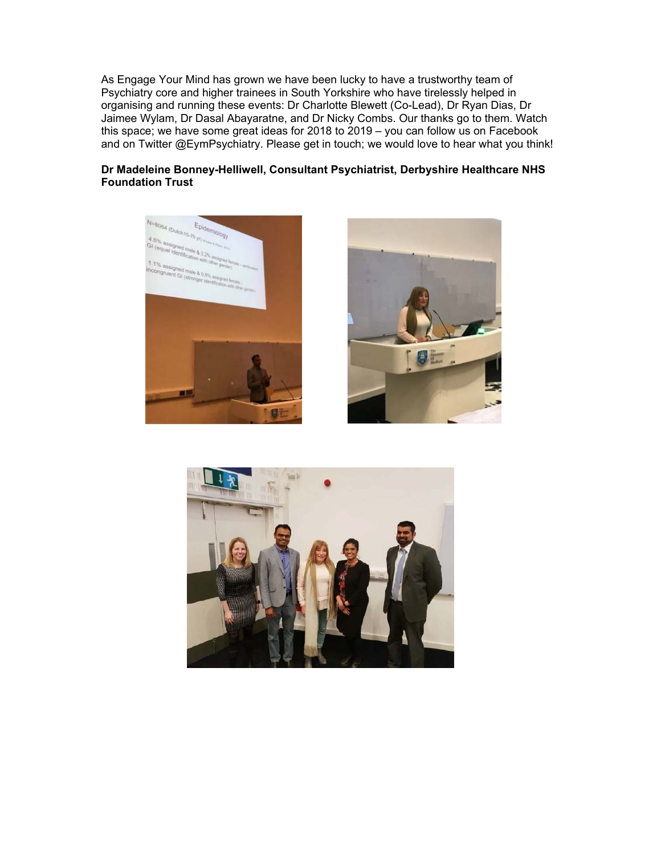As Engage Your Mind has grown we have been lucky to have a trustworthy team of Psychiatry core and higher trainees in South Yorkshire who have tirelessly helped in organising and running these events: Dr Charlotte Blewett (Co-Lead), Dr Ryan Dias, Dr Jaimee Wylam, Dr Dasal Abayaratne, and Dr Nicky Combs. Our thanks go to them. Watch this space; we have some great ideas for 2018 to 2019 – you can follow us on Facebook and on Twitter @EymPsychiatry. Please get in touch; we would love to hear what you think!

## **Dr Madeleine Bonney-Helliwell, Consultant Psychiatrist, Derbyshire Healthcare NHS Foundation Trust**





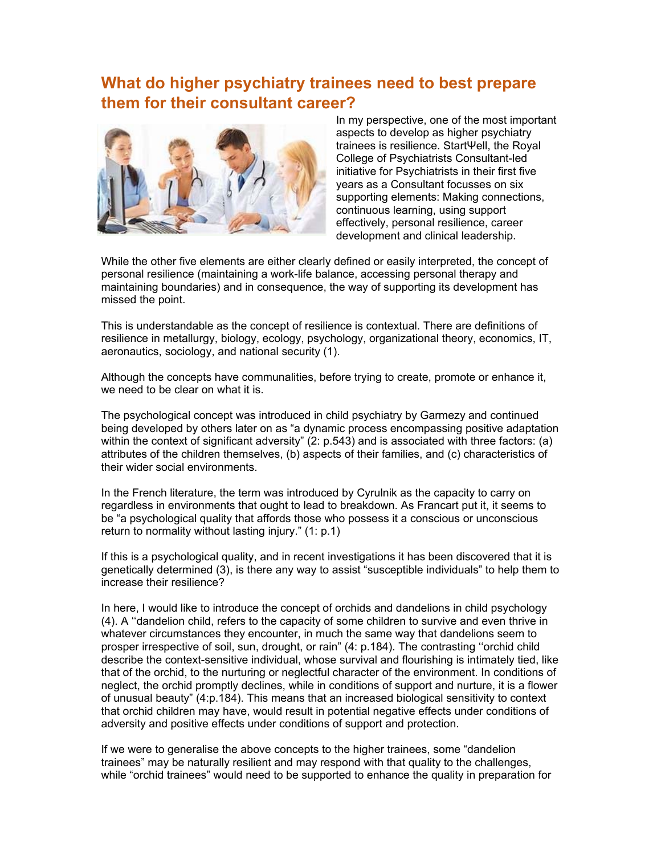## **What do higher psychiatry trainees need to best prepare them for their consultant career?**



In my perspective, one of the most important aspects to develop as higher psychiatry trainees is resilience. StartΨell, the Royal College of Psychiatrists Consultant-led initiative for Psychiatrists in their first five years as a Consultant focusses on six supporting elements: Making connections, continuous learning, using support effectively, personal resilience, career development and clinical leadership.

While the other five elements are either clearly defined or easily interpreted, the concept of personal resilience (maintaining a work-life balance, accessing personal therapy and maintaining boundaries) and in consequence, the way of supporting its development has missed the point.

This is understandable as the concept of resilience is contextual. There are definitions of resilience in metallurgy, biology, ecology, psychology, organizational theory, economics, IT, aeronautics, sociology, and national security (1).

Although the concepts have communalities, before trying to create, promote or enhance it, we need to be clear on what it is.

The psychological concept was introduced in child psychiatry by Garmezy and continued being developed by others later on as "a dynamic process encompassing positive adaptation within the context of significant adversity" (2: p.543) and is associated with three factors: (a) attributes of the children themselves, (b) aspects of their families, and (c) characteristics of their wider social environments.

In the French literature, the term was introduced by Cyrulnik as the capacity to carry on regardless in environments that ought to lead to breakdown. As Francart put it, it seems to be "a psychological quality that affords those who possess it a conscious or unconscious return to normality without lasting injury." (1: p.1)

If this is a psychological quality, and in recent investigations it has been discovered that it is genetically determined (3), is there any way to assist "susceptible individuals" to help them to increase their resilience?

In here, I would like to introduce the concept of orchids and dandelions in child psychology (4). A ''dandelion child, refers to the capacity of some children to survive and even thrive in whatever circumstances they encounter, in much the same way that dandelions seem to prosper irrespective of soil, sun, drought, or rain" (4: p.184). The contrasting ''orchid child describe the context-sensitive individual, whose survival and flourishing is intimately tied, like that of the orchid, to the nurturing or neglectful character of the environment. In conditions of neglect, the orchid promptly declines, while in conditions of support and nurture, it is a flower of unusual beauty" (4:p.184). This means that an increased biological sensitivity to context that orchid children may have, would result in potential negative effects under conditions of adversity and positive effects under conditions of support and protection.

If we were to generalise the above concepts to the higher trainees, some "dandelion trainees" may be naturally resilient and may respond with that quality to the challenges, while "orchid trainees" would need to be supported to enhance the quality in preparation for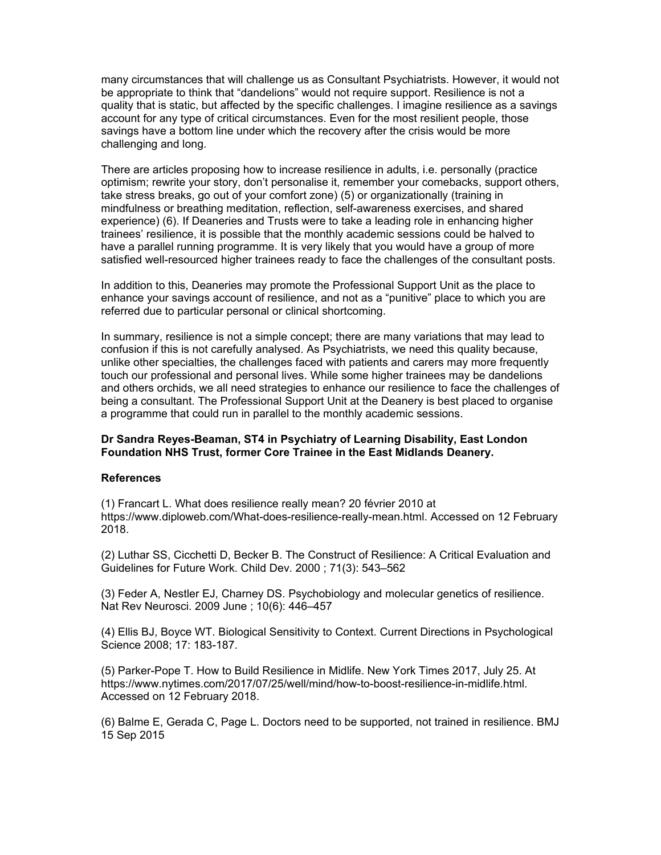many circumstances that will challenge us as Consultant Psychiatrists. However, it would not be appropriate to think that "dandelions" would not require support. Resilience is not a quality that is static, but affected by the specific challenges. I imagine resilience as a savings account for any type of critical circumstances. Even for the most resilient people, those savings have a bottom line under which the recovery after the crisis would be more challenging and long.

There are articles proposing how to increase resilience in adults, i.e. personally (practice optimism; rewrite your story, don't personalise it, remember your comebacks, support others, take stress breaks, go out of your comfort zone) (5) or organizationally (training in mindfulness or breathing meditation, reflection, self-awareness exercises, and shared experience) (6). If Deaneries and Trusts were to take a leading role in enhancing higher trainees' resilience, it is possible that the monthly academic sessions could be halved to have a parallel running programme. It is very likely that you would have a group of more satisfied well-resourced higher trainees ready to face the challenges of the consultant posts.

In addition to this, Deaneries may promote the Professional Support Unit as the place to enhance your savings account of resilience, and not as a "punitive" place to which you are referred due to particular personal or clinical shortcoming.

In summary, resilience is not a simple concept; there are many variations that may lead to confusion if this is not carefully analysed. As Psychiatrists, we need this quality because, unlike other specialties, the challenges faced with patients and carers may more frequently touch our professional and personal lives. While some higher trainees may be dandelions and others orchids, we all need strategies to enhance our resilience to face the challenges of being a consultant. The Professional Support Unit at the Deanery is best placed to organise a programme that could run in parallel to the monthly academic sessions.

#### **Dr Sandra Reyes-Beaman, ST4 in Psychiatry of Learning Disability, East London Foundation NHS Trust, former Core Trainee in the East Midlands Deanery.**

#### **References**

(1) Francart L. What does resilience really mean? 20 février 2010 at https://www.diploweb.com/What-does-resilience-really-mean.html. Accessed on 12 February 2018.

(2) Luthar SS, Cicchetti D, Becker B. The Construct of Resilience: A Critical Evaluation and Guidelines for Future Work. Child Dev. 2000 ; 71(3): 543–562

(3) Feder A, Nestler EJ, Charney DS. Psychobiology and molecular genetics of resilience. Nat Rev Neurosci. 2009 June ; 10(6): 446–457

(4) Ellis BJ, Boyce WT. Biological Sensitivity to Context. Current Directions in Psychological Science 2008; 17: 183-187.

(5) Parker-Pope T. How to Build Resilience in Midlife. New York Times 2017, July 25. At https://www.nytimes.com/2017/07/25/well/mind/how-to-boost-resilience-in-midlife.html. Accessed on 12 February 2018.

(6) Balme E, Gerada C, Page L. Doctors need to be supported, not trained in resilience. BMJ 15 Sep 2015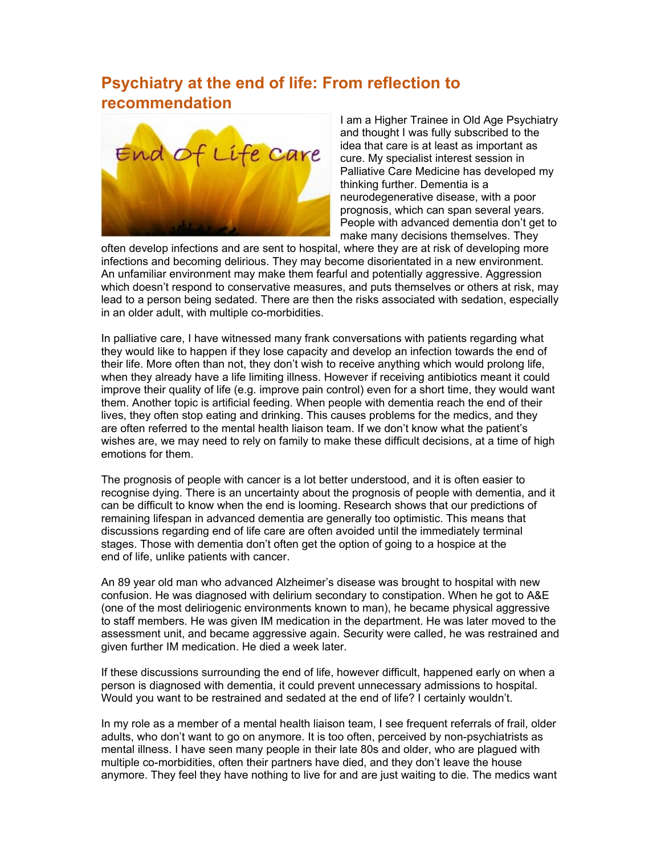# **Psychiatry at the end of life: From reflection to recommendation**



I am a Higher Trainee in Old Age Psychiatry and thought I was fully subscribed to the idea that care is at least as important as cure. My specialist interest session in Palliative Care Medicine has developed my thinking further. Dementia is a neurodegenerative disease, with a poor prognosis, which can span several years. People with advanced dementia don't get to make many decisions themselves. They

often develop infections and are sent to hospital, where they are at risk of developing more infections and becoming delirious. They may become disorientated in a new environment. An unfamiliar environment may make them fearful and potentially aggressive. Aggression which doesn't respond to conservative measures, and puts themselves or others at risk, may lead to a person being sedated. There are then the risks associated with sedation, especially in an older adult, with multiple co-morbidities.

In palliative care, I have witnessed many frank conversations with patients regarding what they would like to happen if they lose capacity and develop an infection towards the end of their life. More often than not, they don't wish to receive anything which would prolong life, when they already have a life limiting illness. However if receiving antibiotics meant it could improve their quality of life (e.g. improve pain control) even for a short time, they would want them. Another topic is artificial feeding. When people with dementia reach the end of their lives, they often stop eating and drinking. This causes problems for the medics, and they are often referred to the mental health liaison team. If we don't know what the patient's wishes are, we may need to rely on family to make these difficult decisions, at a time of high emotions for them.

The prognosis of people with cancer is a lot better understood, and it is often easier to recognise dying. There is an uncertainty about the prognosis of people with dementia, and it can be difficult to know when the end is looming. Research shows that our predictions of remaining lifespan in advanced dementia are generally too optimistic. This means that discussions regarding end of life care are often avoided until the immediately terminal stages. Those with dementia don't often get the option of going to a hospice at the end of life, unlike patients with cancer.

An 89 year old man who advanced Alzheimer's disease was brought to hospital with new confusion. He was diagnosed with delirium secondary to constipation. When he got to A&E (one of the most deliriogenic environments known to man), he became physical aggressive to staff members. He was given IM medication in the department. He was later moved to the assessment unit, and became aggressive again. Security were called, he was restrained and given further IM medication. He died a week later.

If these discussions surrounding the end of life, however difficult, happened early on when a person is diagnosed with dementia, it could prevent unnecessary admissions to hospital. Would you want to be restrained and sedated at the end of life? I certainly wouldn't.

In my role as a member of a mental health liaison team, I see frequent referrals of frail, older adults, who don't want to go on anymore. It is too often, perceived by non-psychiatrists as mental illness. I have seen many people in their late 80s and older, who are plagued with multiple co-morbidities, often their partners have died, and they don't leave the house anymore. They feel they have nothing to live for and are just waiting to die. The medics want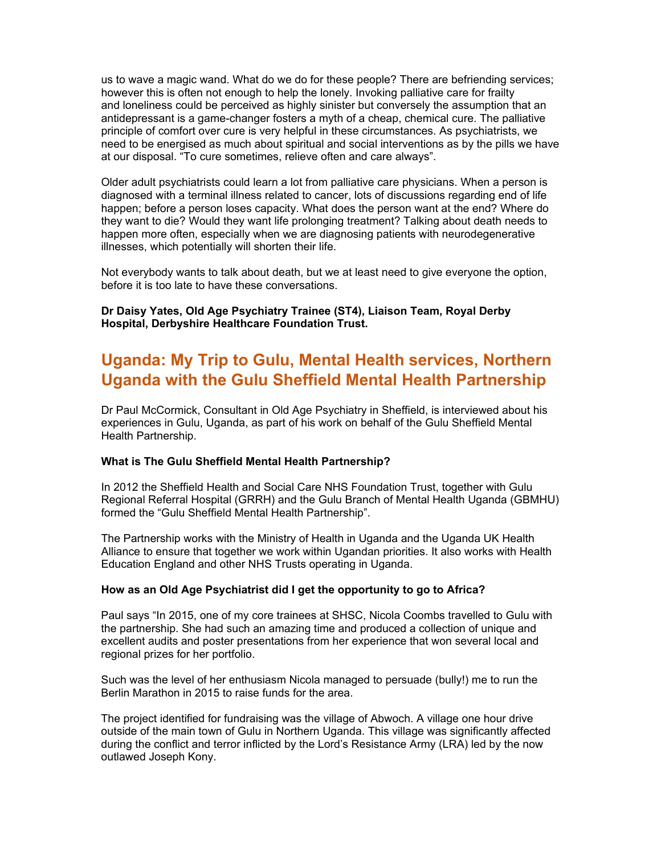us to wave a magic wand. What do we do for these people? There are befriending services; however this is often not enough to help the lonely. Invoking palliative care for frailty and loneliness could be perceived as highly sinister but conversely the assumption that an antidepressant is a game-changer fosters a myth of a cheap, chemical cure. The palliative principle of comfort over cure is very helpful in these circumstances. As psychiatrists, we need to be energised as much about spiritual and social interventions as by the pills we have at our disposal. "To cure sometimes, relieve often and care always".

Older adult psychiatrists could learn a lot from palliative care physicians. When a person is diagnosed with a terminal illness related to cancer, lots of discussions regarding end of life happen; before a person loses capacity. What does the person want at the end? Where do they want to die? Would they want life prolonging treatment? Talking about death needs to happen more often, especially when we are diagnosing patients with neurodegenerative illnesses, which potentially will shorten their life.

Not everybody wants to talk about death, but we at least need to give everyone the option, before it is too late to have these conversations.

**Dr Daisy Yates, Old Age Psychiatry Trainee (ST4), Liaison Team, Royal Derby Hospital, Derbyshire Healthcare Foundation Trust.** 

## **Uganda: My Trip to Gulu, Mental Health services, Northern Uganda with the Gulu Sheffield Mental Health Partnership**

Dr Paul McCormick, Consultant in Old Age Psychiatry in Sheffield, is interviewed about his experiences in Gulu, Uganda, as part of his work on behalf of the Gulu Sheffield Mental Health Partnership.

#### **What is The Gulu Sheffield Mental Health Partnership?**

In 2012 the Sheffield Health and Social Care NHS Foundation Trust, together with Gulu Regional Referral Hospital (GRRH) and the Gulu Branch of Mental Health Uganda (GBMHU) formed the "Gulu Sheffield Mental Health Partnership".

The Partnership works with the Ministry of Health in Uganda and the Uganda UK Health Alliance to ensure that together we work within Ugandan priorities. It also works with Health Education England and other NHS Trusts operating in Uganda.

#### **How as an Old Age Psychiatrist did I get the opportunity to go to Africa?**

Paul says "In 2015, one of my core trainees at SHSC, Nicola Coombs travelled to Gulu with the partnership. She had such an amazing time and produced a collection of unique and excellent audits and poster presentations from her experience that won several local and regional prizes for her portfolio.

Such was the level of her enthusiasm Nicola managed to persuade (bully!) me to run the Berlin Marathon in 2015 to raise funds for the area.

The project identified for fundraising was the village of Abwoch. A village one hour drive outside of the main town of Gulu in Northern Uganda. This village was significantly affected during the conflict and terror inflicted by the Lord's Resistance Army (LRA) led by the now outlawed Joseph Kony.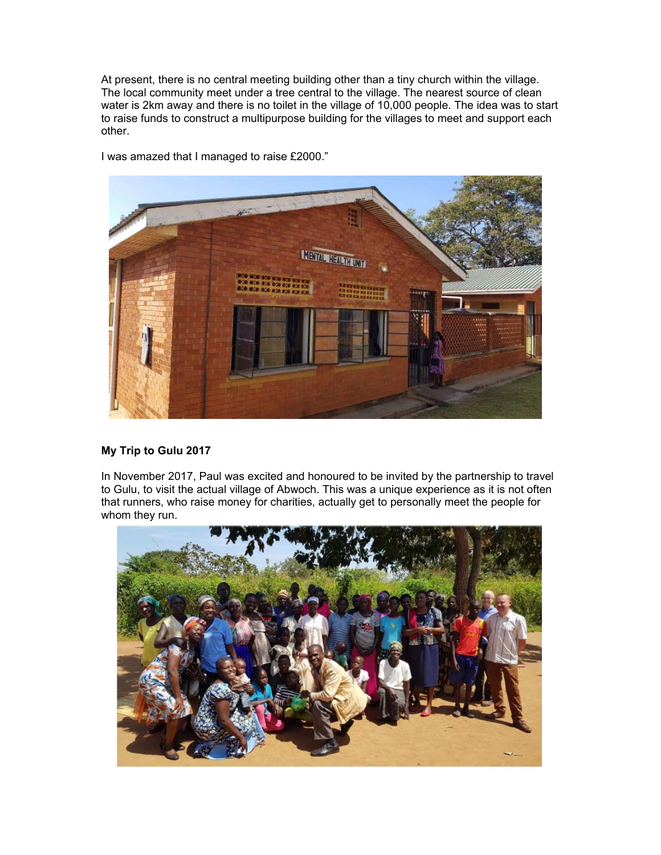At present, there is no central meeting building other than a tiny church within the village. The local community meet under a tree central to the village. The nearest source of clean water is 2km away and there is no toilet in the village of 10,000 people. The idea was to start to raise funds to construct a multipurpose building for the villages to meet and support each other.



I was amazed that I managed to raise £2000."

## **My Trip to Gulu 2017**

In November 2017, Paul was excited and honoured to be invited by the partnership to travel to Gulu, to visit the actual village of Abwoch. This was a unique experience as it is not often that runners, who raise money for charities, actually get to personally meet the people for whom they run.

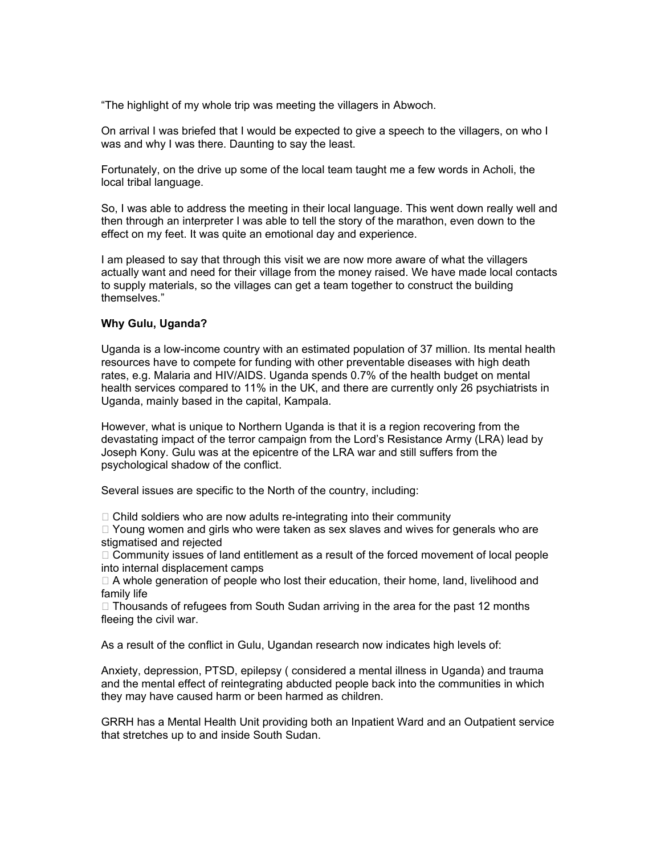"The highlight of my whole trip was meeting the villagers in Abwoch.

On arrival I was briefed that I would be expected to give a speech to the villagers, on who I was and why I was there. Daunting to say the least.

Fortunately, on the drive up some of the local team taught me a few words in Acholi, the local tribal language.

So, I was able to address the meeting in their local language. This went down really well and then through an interpreter I was able to tell the story of the marathon, even down to the effect on my feet. It was quite an emotional day and experience.

I am pleased to say that through this visit we are now more aware of what the villagers actually want and need for their village from the money raised. We have made local contacts to supply materials, so the villages can get a team together to construct the building themselves."

#### **Why Gulu, Uganda?**

Uganda is a low-income country with an estimated population of 37 million. Its mental health resources have to compete for funding with other preventable diseases with high death rates, e.g. Malaria and HIV/AIDS. Uganda spends 0.7% of the health budget on mental health services compared to 11% in the UK, and there are currently only 26 psychiatrists in Uganda, mainly based in the capital, Kampala.

However, what is unique to Northern Uganda is that it is a region recovering from the devastating impact of the terror campaign from the Lord's Resistance Army (LRA) lead by Joseph Kony. Gulu was at the epicentre of the LRA war and still suffers from the psychological shadow of the conflict.

Several issues are specific to the North of the country, including:

 $\Box$  Child soldiers who are now adults re-integrating into their community

 $\Box$  Young women and girls who were taken as sex slaves and wives for generals who are stigmatised and rejected

 $\Box$  Community issues of land entitlement as a result of the forced movement of local people into internal displacement camps

 $\Box$  A whole generation of people who lost their education, their home, land, livelihood and family life

 $\Box$  Thousands of refugees from South Sudan arriving in the area for the past 12 months fleeing the civil war.

As a result of the conflict in Gulu, Ugandan research now indicates high levels of:

Anxiety, depression, PTSD, epilepsy ( considered a mental illness in Uganda) and trauma and the mental effect of reintegrating abducted people back into the communities in which they may have caused harm or been harmed as children.

GRRH has a Mental Health Unit providing both an Inpatient Ward and an Outpatient service that stretches up to and inside South Sudan.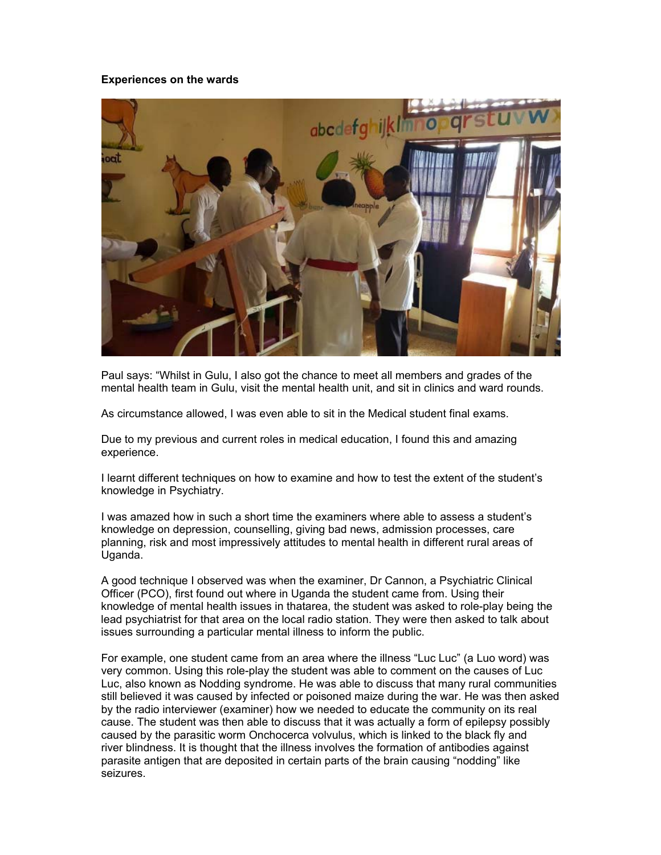#### **Experiences on the wards**



Paul says: "Whilst in Gulu, I also got the chance to meet all members and grades of the mental health team in Gulu, visit the mental health unit, and sit in clinics and ward rounds.

As circumstance allowed, I was even able to sit in the Medical student final exams.

Due to my previous and current roles in medical education, I found this and amazing experience.

I learnt different techniques on how to examine and how to test the extent of the student's knowledge in Psychiatry.

I was amazed how in such a short time the examiners where able to assess a student's knowledge on depression, counselling, giving bad news, admission processes, care planning, risk and most impressively attitudes to mental health in different rural areas of Uganda.

A good technique I observed was when the examiner, Dr Cannon, a Psychiatric Clinical Officer (PCO), first found out where in Uganda the student came from. Using their knowledge of mental health issues in thatarea, the student was asked to role-play being the lead psychiatrist for that area on the local radio station. They were then asked to talk about issues surrounding a particular mental illness to inform the public.

For example, one student came from an area where the illness "Luc Luc" (a Luo word) was very common. Using this role-play the student was able to comment on the causes of Luc Luc, also known as Nodding syndrome. He was able to discuss that many rural communities still believed it was caused by infected or poisoned maize during the war. He was then asked by the radio interviewer (examiner) how we needed to educate the community on its real cause. The student was then able to discuss that it was actually a form of epilepsy possibly caused by the parasitic worm Onchocerca volvulus, which is linked to the black fly and river blindness. It is thought that the illness involves the formation of antibodies against parasite antigen that are deposited in certain parts of the brain causing "nodding" like seizures.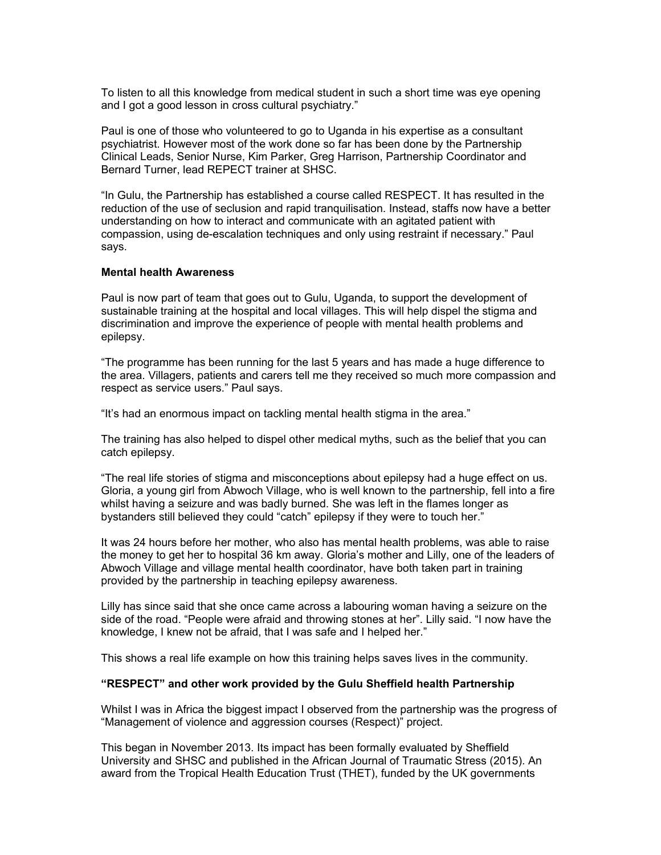To listen to all this knowledge from medical student in such a short time was eye opening and I got a good lesson in cross cultural psychiatry."

Paul is one of those who volunteered to go to Uganda in his expertise as a consultant psychiatrist. However most of the work done so far has been done by the Partnership Clinical Leads, Senior Nurse, Kim Parker, Greg Harrison, Partnership Coordinator and Bernard Turner, lead REPECT trainer at SHSC.

"In Gulu, the Partnership has established a course called RESPECT. It has resulted in the reduction of the use of seclusion and rapid tranquilisation. Instead, staffs now have a better understanding on how to interact and communicate with an agitated patient with compassion, using de-escalation techniques and only using restraint if necessary." Paul says.

#### **Mental health Awareness**

Paul is now part of team that goes out to Gulu, Uganda, to support the development of sustainable training at the hospital and local villages. This will help dispel the stigma and discrimination and improve the experience of people with mental health problems and epilepsy.

"The programme has been running for the last 5 years and has made a huge difference to the area. Villagers, patients and carers tell me they received so much more compassion and respect as service users." Paul says.

"It's had an enormous impact on tackling mental health stigma in the area."

The training has also helped to dispel other medical myths, such as the belief that you can catch epilepsy.

"The real life stories of stigma and misconceptions about epilepsy had a huge effect on us. Gloria, a young girl from Abwoch Village, who is well known to the partnership, fell into a fire whilst having a seizure and was badly burned. She was left in the flames longer as bystanders still believed they could "catch" epilepsy if they were to touch her."

It was 24 hours before her mother, who also has mental health problems, was able to raise the money to get her to hospital 36 km away. Gloria's mother and Lilly, one of the leaders of Abwoch Village and village mental health coordinator, have both taken part in training provided by the partnership in teaching epilepsy awareness.

Lilly has since said that she once came across a labouring woman having a seizure on the side of the road. "People were afraid and throwing stones at her". Lilly said. "I now have the knowledge, I knew not be afraid, that I was safe and I helped her."

This shows a real life example on how this training helps saves lives in the community.

#### **"RESPECT" and other work provided by the Gulu Sheffield health Partnership**

Whilst I was in Africa the biggest impact I observed from the partnership was the progress of "Management of violence and aggression courses (Respect)" project.

This began in November 2013. Its impact has been formally evaluated by Sheffield University and SHSC and published in the African Journal of Traumatic Stress (2015). An award from the Tropical Health Education Trust (THET), funded by the UK governments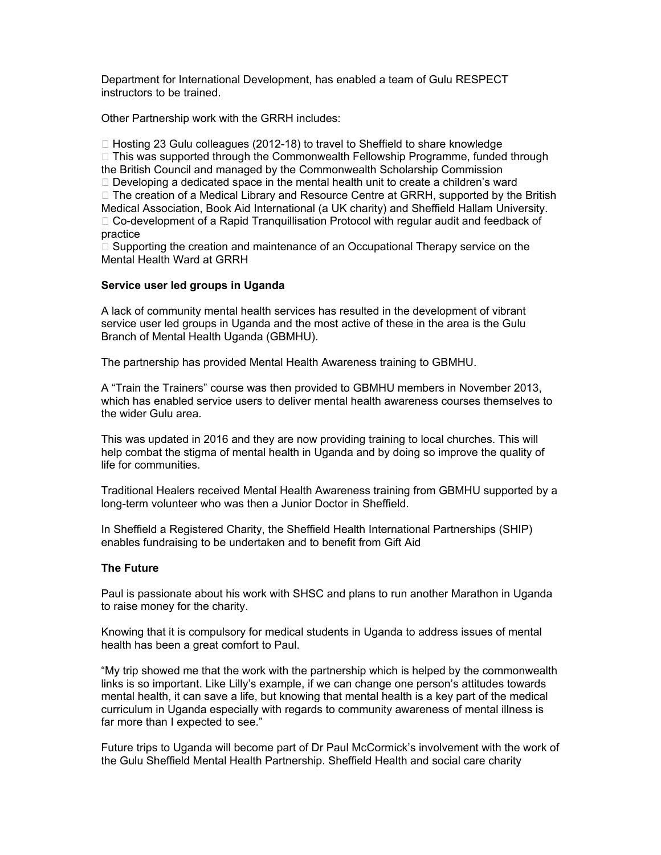Department for International Development, has enabled a team of Gulu RESPECT instructors to be trained.

Other Partnership work with the GRRH includes:

 $\Box$  Hosting 23 Gulu colleagues (2012-18) to travel to Sheffield to share knowledge  $\Box$  This was supported through the Commonwealth Fellowship Programme, funded through the British Council and managed by the Commonwealth Scholarship Commission  $\Box$  Developing a dedicated space in the mental health unit to create a children's ward  $\Box$  The creation of a Medical Library and Resource Centre at GRRH, supported by the British Medical Association, Book Aid International (a UK charity) and Sheffield Hallam University. □ Co-development of a Rapid Tranquillisation Protocol with regular audit and feedback of practice

 $\Box$  Supporting the creation and maintenance of an Occupational Therapy service on the Mental Health Ward at GRRH

#### **Service user led groups in Uganda**

A lack of community mental health services has resulted in the development of vibrant service user led groups in Uganda and the most active of these in the area is the Gulu Branch of Mental Health Uganda (GBMHU).

The partnership has provided Mental Health Awareness training to GBMHU.

A "Train the Trainers" course was then provided to GBMHU members in November 2013, which has enabled service users to deliver mental health awareness courses themselves to the wider Gulu area.

This was updated in 2016 and they are now providing training to local churches. This will help combat the stigma of mental health in Uganda and by doing so improve the quality of life for communities.

Traditional Healers received Mental Health Awareness training from GBMHU supported by a long-term volunteer who was then a Junior Doctor in Sheffield.

In Sheffield a Registered Charity, the Sheffield Health International Partnerships (SHIP) enables fundraising to be undertaken and to benefit from Gift Aid

## **The Future**

Paul is passionate about his work with SHSC and plans to run another Marathon in Uganda to raise money for the charity.

Knowing that it is compulsory for medical students in Uganda to address issues of mental health has been a great comfort to Paul.

"My trip showed me that the work with the partnership which is helped by the commonwealth links is so important. Like Lilly's example, if we can change one person's attitudes towards mental health, it can save a life, but knowing that mental health is a key part of the medical curriculum in Uganda especially with regards to community awareness of mental illness is far more than I expected to see."

Future trips to Uganda will become part of Dr Paul McCormick's involvement with the work of the Gulu Sheffield Mental Health Partnership. Sheffield Health and social care charity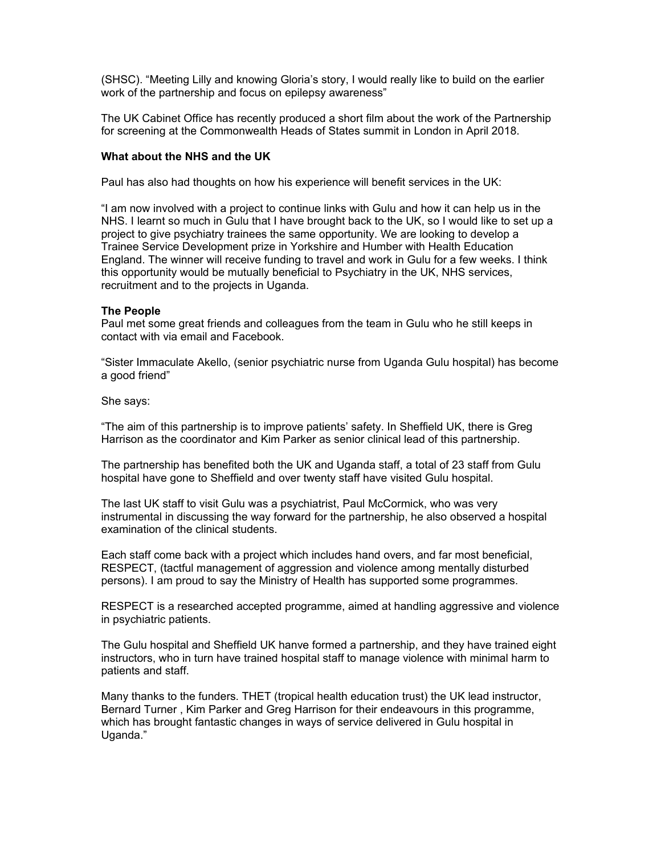(SHSC). "Meeting Lilly and knowing Gloria's story, I would really like to build on the earlier work of the partnership and focus on epilepsy awareness"

The UK Cabinet Office has recently produced a short film about the work of the Partnership for screening at the Commonwealth Heads of States summit in London in April 2018.

#### **What about the NHS and the UK**

Paul has also had thoughts on how his experience will benefit services in the UK:

"I am now involved with a project to continue links with Gulu and how it can help us in the NHS. I learnt so much in Gulu that I have brought back to the UK, so I would like to set up a project to give psychiatry trainees the same opportunity. We are looking to develop a Trainee Service Development prize in Yorkshire and Humber with Health Education England. The winner will receive funding to travel and work in Gulu for a few weeks. I think this opportunity would be mutually beneficial to Psychiatry in the UK, NHS services, recruitment and to the projects in Uganda.

#### **The People**

Paul met some great friends and colleagues from the team in Gulu who he still keeps in contact with via email and Facebook.

"Sister Immaculate Akello, (senior psychiatric nurse from Uganda Gulu hospital) has become a good friend"

She says:

"The aim of this partnership is to improve patients' safety. In Sheffield UK, there is Greg Harrison as the coordinator and Kim Parker as senior clinical lead of this partnership.

The partnership has benefited both the UK and Uganda staff, a total of 23 staff from Gulu hospital have gone to Sheffield and over twenty staff have visited Gulu hospital.

The last UK staff to visit Gulu was a psychiatrist, Paul McCormick, who was very instrumental in discussing the way forward for the partnership, he also observed a hospital examination of the clinical students.

Each staff come back with a project which includes hand overs, and far most beneficial, RESPECT, (tactful management of aggression and violence among mentally disturbed persons). I am proud to say the Ministry of Health has supported some programmes.

RESPECT is a researched accepted programme, aimed at handling aggressive and violence in psychiatric patients.

The Gulu hospital and Sheffield UK hanve formed a partnership, and they have trained eight instructors, who in turn have trained hospital staff to manage violence with minimal harm to patients and staff.

Many thanks to the funders. THET (tropical health education trust) the UK lead instructor, Bernard Turner , Kim Parker and Greg Harrison for their endeavours in this programme, which has brought fantastic changes in ways of service delivered in Gulu hospital in Uganda."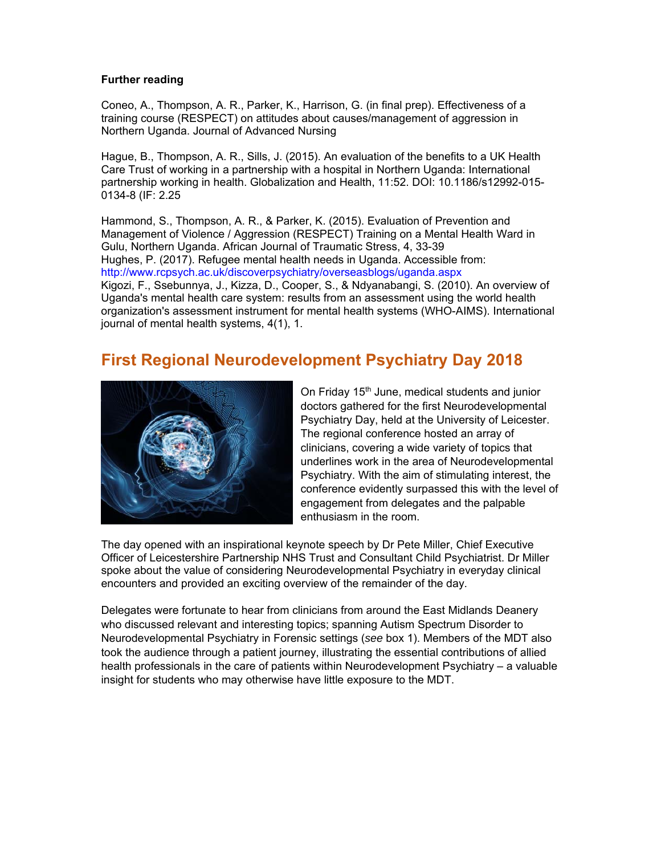## **Further reading**

Coneo, A., Thompson, A. R., Parker, K., Harrison, G. (in final prep). Effectiveness of a training course (RESPECT) on attitudes about causes/management of aggression in Northern Uganda. Journal of Advanced Nursing

Hague, B., Thompson, A. R., Sills, J. (2015). An evaluation of the benefits to a UK Health Care Trust of working in a partnership with a hospital in Northern Uganda: International partnership working in health. Globalization and Health, 11:52. DOI: 10.1186/s12992-015- 0134-8 (IF: 2.25

Hammond, S., Thompson, A. R., & Parker, K. (2015). Evaluation of Prevention and Management of Violence / Aggression (RESPECT) Training on a Mental Health Ward in Gulu, Northern Uganda. African Journal of Traumatic Stress, 4, 33-39 Hughes, P. (2017). Refugee mental health needs in Uganda. Accessible from: http://www.rcpsych.ac.uk/discoverpsychiatry/overseasblogs/uganda.aspx Kigozi, F., Ssebunnya, J., Kizza, D., Cooper, S., & Ndyanabangi, S. (2010). An overview of Uganda's mental health care system: results from an assessment using the world health organization's assessment instrument for mental health systems (WHO-AIMS). International journal of mental health systems, 4(1), 1.

# **First Regional Neurodevelopment Psychiatry Day 2018**



On Friday 15<sup>th</sup> June, medical students and junior doctors gathered for the first Neurodevelopmental Psychiatry Day, held at the University of Leicester. The regional conference hosted an array of clinicians, covering a wide variety of topics that underlines work in the area of Neurodevelopmental Psychiatry. With the aim of stimulating interest, the conference evidently surpassed this with the level of engagement from delegates and the palpable enthusiasm in the room.

The day opened with an inspirational keynote speech by Dr Pete Miller, Chief Executive Officer of Leicestershire Partnership NHS Trust and Consultant Child Psychiatrist. Dr Miller spoke about the value of considering Neurodevelopmental Psychiatry in everyday clinical encounters and provided an exciting overview of the remainder of the day.

Delegates were fortunate to hear from clinicians from around the East Midlands Deanery who discussed relevant and interesting topics; spanning Autism Spectrum Disorder to Neurodevelopmental Psychiatry in Forensic settings (*see* box 1). Members of the MDT also took the audience through a patient journey, illustrating the essential contributions of allied health professionals in the care of patients within Neurodevelopment Psychiatry – a valuable insight for students who may otherwise have little exposure to the MDT.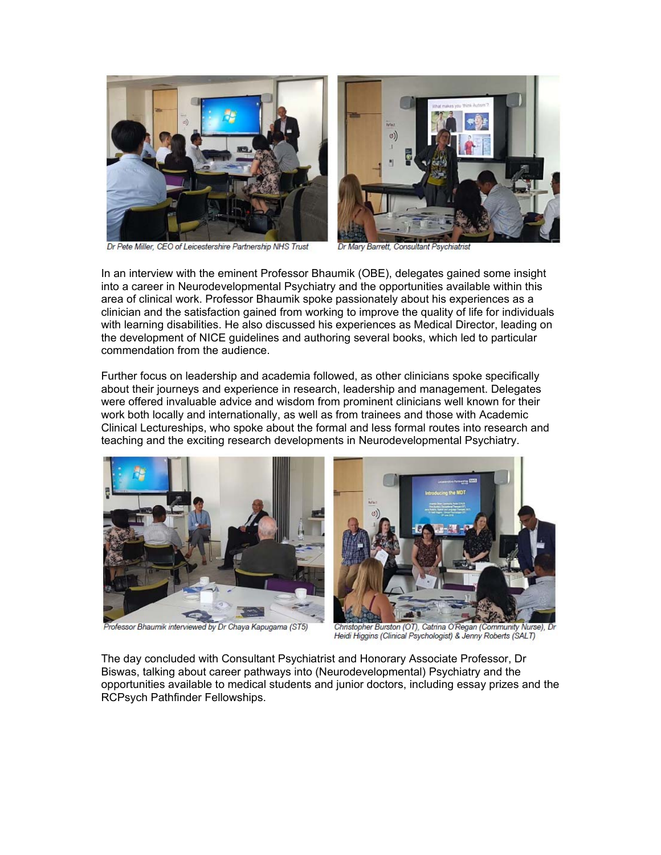

Dr Pete Miller, CEO of Leicestershire Partnership NHS Trust

Dr Mary Barrett, Consultant Psychiatris

In an interview with the eminent Professor Bhaumik (OBE), delegates gained some insight into a career in Neurodevelopmental Psychiatry and the opportunities available within this area of clinical work. Professor Bhaumik spoke passionately about his experiences as a clinician and the satisfaction gained from working to improve the quality of life for individuals with learning disabilities. He also discussed his experiences as Medical Director, leading on the development of NICE guidelines and authoring several books, which led to particular commendation from the audience.

Further focus on leadership and academia followed, as other clinicians spoke specifically about their journeys and experience in research, leadership and management. Delegates were offered invaluable advice and wisdom from prominent clinicians well known for their work both locally and internationally, as well as from trainees and those with Academic Clinical Lectureships, who spoke about the formal and less formal routes into research and teaching and the exciting research developments in Neurodevelopmental Psychiatry.



Professor Bhaumik interviewed by Dr Chaya Kapugama (ST5)



Christopher Burston (OT), Catrina O'Regan (Community Nurse), Dr Heidi Higgins (Clinical Psychologist) & Jenny Roberts (SALT)

The day concluded with Consultant Psychiatrist and Honorary Associate Professor, Dr Biswas, talking about career pathways into (Neurodevelopmental) Psychiatry and the opportunities available to medical students and junior doctors, including essay prizes and the RCPsych Pathfinder Fellowships.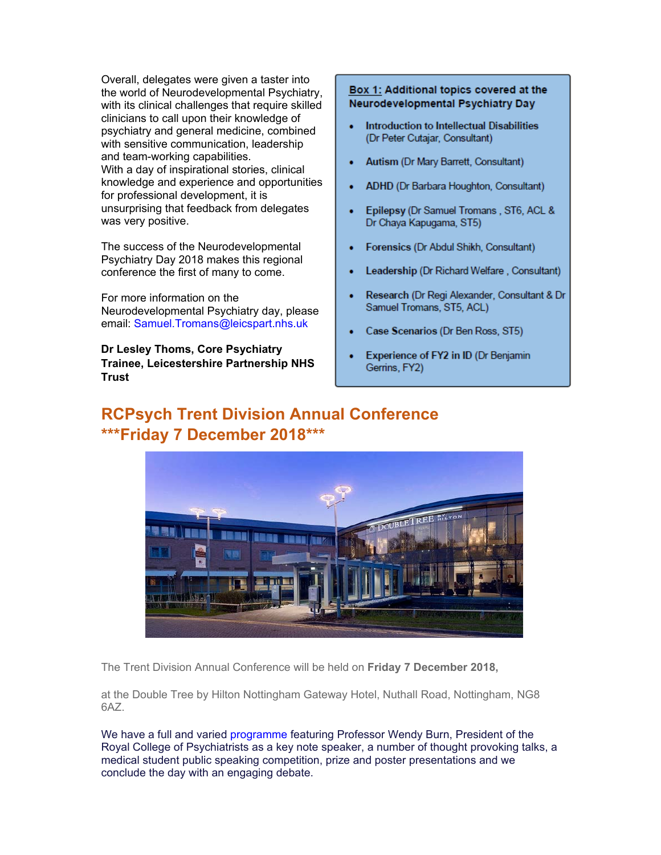Overall, delegates were given a taster into the world of Neurodevelopmental Psychiatry, with its clinical challenges that require skilled clinicians to call upon their knowledge of psychiatry and general medicine, combined with sensitive communication, leadership and team-working capabilities. With a day of inspirational stories, clinical knowledge and experience and opportunities for professional development, it is unsurprising that feedback from delegates was very positive.

The success of the Neurodevelopmental Psychiatry Day 2018 makes this regional conference the first of many to come.

For more information on the Neurodevelopmental Psychiatry day, please email: Samuel.Tromans@leicspart.nhs.uk

**Dr Lesley Thoms, Core Psychiatry Trainee, Leicestershire Partnership NHS Trust** 

#### Box 1: Additional topics covered at the Neurodevelopmental Psychiatry Day

- Introduction to Intellectual Disabilities (Dr Peter Cutajar, Consultant)
- Autism (Dr Mary Barrett, Consultant)
- ADHD (Dr Barbara Houghton, Consultant)
- Epilepsy (Dr Samuel Tromans, ST6, ACL & Dr Chaya Kapugama, ST5)
- Forensics (Dr Abdul Shikh, Consultant)
- Leadership (Dr Richard Welfare, Consultant)
- Research (Dr Regi Alexander, Consultant & Dr Samuel Tromans, ST5, ACL)
- Case Scenarios (Dr Ben Ross, ST5)
- Experience of FY2 in ID (Dr Benjamin Gerrins, FY2)

# **RCPsych Trent Division Annual Conference \*\*\*Friday 7 December 2018\*\*\***



The Trent Division Annual Conference will be held on **Friday 7 December 2018,**

at the Double Tree by Hilton Nottingham Gateway Hotel, Nuthall Road, Nottingham, NG8 6AZ.

We have a full and varied programme featuring Professor Wendy Burn, President of the Royal College of Psychiatrists as a key note speaker, a number of thought provoking talks, a medical student public speaking competition, prize and poster presentations and we conclude the day with an engaging debate.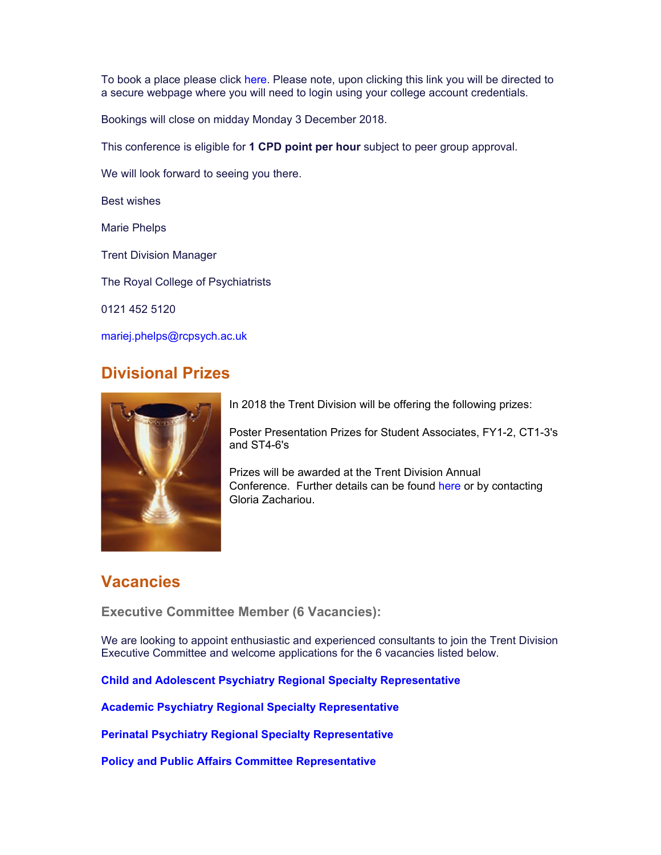To book a place please click here. Please note, upon clicking this link you will be directed to a secure webpage where you will need to login using your college account credentials.

Bookings will close on midday Monday 3 December 2018.

This conference is eligible for **1 CPD point per hour** subject to peer group approval.

We will look forward to seeing you there.

Best wishes

Marie Phelps

Trent Division Manager

The Royal College of Psychiatrists

0121 452 5120

mariej.phelps@rcpsych.ac.uk

## **Divisional Prizes**



In 2018 the Trent Division will be offering the following prizes:

Poster Presentation Prizes for Student Associates, FY1-2, CT1-3's and ST4-6's

Prizes will be awarded at the Trent Division Annual Conference. Further details can be found here or by contacting Gloria Zachariou.

## **Vacancies**

**Executive Committee Member (6 Vacancies):** 

We are looking to appoint enthusiastic and experienced consultants to join the Trent Division Executive Committee and welcome applications for the 6 vacancies listed below.

**Child and Adolescent Psychiatry Regional Specialty Representative**

**Academic Psychiatry Regional Specialty Representative**

**Perinatal Psychiatry Regional Specialty Representative**

**Policy and Public Affairs Committee Representative**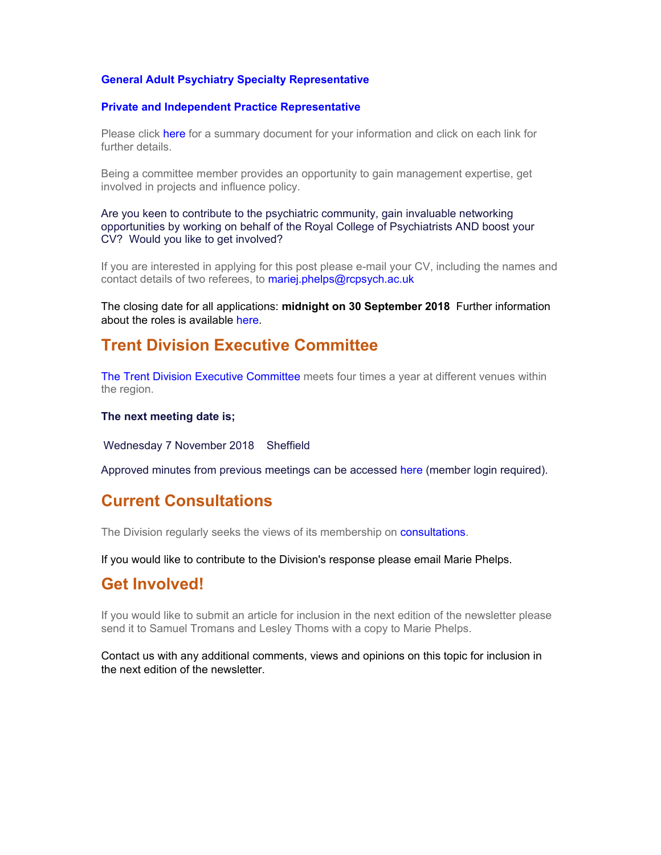## **General Adult Psychiatry Specialty Representative**

#### **Private and Independent Practice Representative**

Please click here for a summary document for your information and click on each link for further details.

Being a committee member provides an opportunity to gain management expertise, get involved in projects and influence policy.

Are you keen to contribute to the psychiatric community, gain invaluable networking opportunities by working on behalf of the Royal College of Psychiatrists AND boost your CV? Would you like to get involved?

If you are interested in applying for this post please e-mail your CV, including the names and contact details of two referees, to mariej.phelps@rcpsych.ac.uk

The closing date for all applications: **midnight on 30 September 2018** Further information about the roles is available here.

## **Trent Division Executive Committee**

The Trent Division Executive Committee meets four times a year at different venues within the region.

#### **The next meeting date is;**

Wednesday 7 November 2018 Sheffield

Approved minutes from previous meetings can be accessed here (member login required).

## **Current Consultations**

The Division regularly seeks the views of its membership on consultations.

If you would like to contribute to the Division's response please email Marie Phelps.

## **Get Involved!**

If you would like to submit an article for inclusion in the next edition of the newsletter please send it to Samuel Tromans and Lesley Thoms with a copy to Marie Phelps.

Contact us with any additional comments, views and opinions on this topic for inclusion in the next edition of the newsletter.